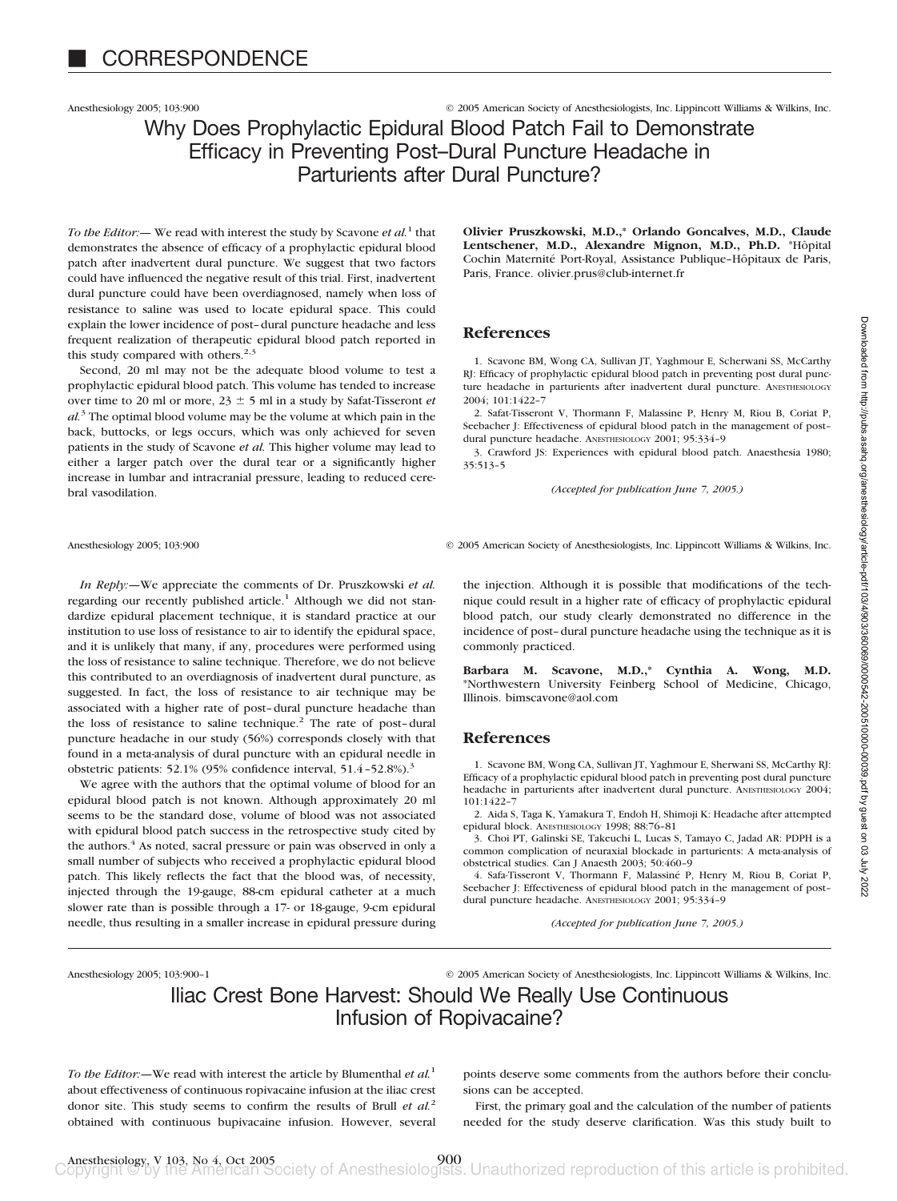Anesthesiology 2005; 103:900 © 2005 American Society of Anesthesiologists, Inc. Lippincott Williams & Wilkins, Inc.

## Why Does Prophylactic Epidural Blood Patch Fail to Demonstrate Efficacy in Preventing Post–Dural Puncture Headache in Parturients after Dural Puncture?

*To the Editor:—* We read with interest the study by Scavone *et al.*<sup>1</sup> that demonstrates the absence of efficacy of a prophylactic epidural blood patch after inadvertent dural puncture. We suggest that two factors could have influenced the negative result of this trial. First, inadvertent dural puncture could have been overdiagnosed, namely when loss of resistance to saline was used to locate epidural space. This could explain the lower incidence of post– dural puncture headache and less frequent realization of therapeutic epidural blood patch reported in this study compared with others. $2,3$ 

Second, 20 ml may not be the adequate blood volume to test a prophylactic epidural blood patch. This volume has tended to increase over time to 20 ml or more,  $23 \pm 5$  ml in a study by Safat-Tisseront *et al.*<sup>3</sup> The optimal blood volume may be the volume at which pain in the back, buttocks, or legs occurs, which was only achieved for seven patients in the study of Scavone *et al.* This higher volume may lead to either a larger patch over the dural tear or a significantly higher increase in lumbar and intracranial pressure, leading to reduced cerebral vasodilation.

*In Reply:—*We appreciate the comments of Dr. Pruszkowski *et al.* regarding our recently published article.<sup>1</sup> Although we did not standardize epidural placement technique, it is standard practice at our institution to use loss of resistance to air to identify the epidural space, and it is unlikely that many, if any, procedures were performed using the loss of resistance to saline technique. Therefore, we do not believe this contributed to an overdiagnosis of inadvertent dural puncture, as suggested. In fact, the loss of resistance to air technique may be associated with a higher rate of post– dural puncture headache than the loss of resistance to saline technique.<sup>2</sup> The rate of post-dural puncture headache in our study (56%) corresponds closely with that found in a meta-analysis of dural puncture with an epidural needle in obstetric patients: 52.1% (95% confidence interval, 51.4 –52.8%).3

We agree with the authors that the optimal volume of blood for an epidural blood patch is not known. Although approximately 20 ml seems to be the standard dose, volume of blood was not associated with epidural blood patch success in the retrospective study cited by the authors.<sup>4</sup> As noted, sacral pressure or pain was observed in only a small number of subjects who received a prophylactic epidural blood patch. This likely reflects the fact that the blood was, of necessity, injected through the 19-gauge, 88-cm epidural catheter at a much slower rate than is possible through a 17- or 18-gauge, 9-cm epidural needle, thus resulting in a smaller increase in epidural pressure during

**Olivier Pruszkowski, M.D.,\* Orlando Goncalves, M.D., Claude** Lentschener, M.D., Alexandre Mignon, M.D., Ph.D. \*Hôpital Cochin Maternité Port-Royal, Assistance Publique-Hôpitaux de Paris, Paris, France. olivier.prus@club-internet.fr

#### **References**

1. Scavone BM, Wong CA, Sullivan JT, Yaghmour E, Scherwani SS, McCarthy RJ: Efficacy of prophylactic epidural blood patch in preventing post dural puncture headache in parturients after inadvertent dural puncture. ANESTHESIOLOGY 2004; 101:1422–7

2. Safat-Tisseront V, Thormann F, Malassine P, Henry M, Riou B, Coriat P, Seebacher J: Effectiveness of epidural blood patch in the management of post– dural puncture headache. ANESTHESIOLOGY 2001; 95:334–9

3. Crawford JS: Experiences with epidural blood patch. Anaesthesia 1980; 35:513–5

*(Accepted for publication June 7, 2005.)*

Anesthesiology 2005; 103:900 <sup>©</sup> 2005 American Society of Anesthesiologists, Inc. Lippincott Williams & Wilkins, Inc.

the injection. Although it is possible that modifications of the technique could result in a higher rate of efficacy of prophylactic epidural blood patch, our study clearly demonstrated no difference in the incidence of post– dural puncture headache using the technique as it is commonly practiced.

**Barbara M. Scavone, M.D.,\* Cynthia A. Wong, M.D.** \*Northwestern University Feinberg School of Medicine, Chicago, Illinois. bimscavone@aol.com

### **References**

1. Scavone BM, Wong CA, Sullivan JT, Yaghmour E, Sherwani SS, McCarthy RJ: Efficacy of a prophylactic epidural blood patch in preventing post dural puncture headache in parturients after inadvertent dural puncture. ANESTHESIOLOGY 2004; 101:1422–7

2. Aida S, Taga K, Yamakura T, Endoh H, Shimoji K: Headache after attempted epidural block. ANESTHESIOLOGY 1998; 88:76–81

3. Choi PT, Galinski SE, Takeuchi L, Lucas S, Tamayo C, Jadad AR: PDPH is a common complication of neuraxial blockade in parturients: A meta-analysis of obstetrical studies. Can J Anaesth 2003; 50:460–9

4. Safa-Tisseront V, Thormann F, Malassiné P, Henry M, Riou B, Coriat P, Seebacher J: Effectiveness of epidural blood patch in the management of post– dural puncture headache. ANESTHESIOLOGY 2001; 95:334–9

*(Accepted for publication June 7, 2005.)*

Anesthesiology 2005; 103:900–1 © 2005 American Society of Anesthesiologists, Inc. Lippincott Williams & Wilkins, Inc. Iliac Crest Bone Harvest: Should We Really Use Continuous Infusion of Ropivacaine?

*To the Editor:—*We read with interest the article by Blumenthal *et al.*<sup>1</sup> about effectiveness of continuous ropivacaine infusion at the iliac crest donor site. This study seems to confirm the results of Brull *et al.*<sup>2</sup> obtained with continuous bupivacaine infusion. However, several

points deserve some comments from the authors before their conclusions can be accepted.

First, the primary goal and the calculation of the number of patients needed for the study deserve clarification. Was this study built to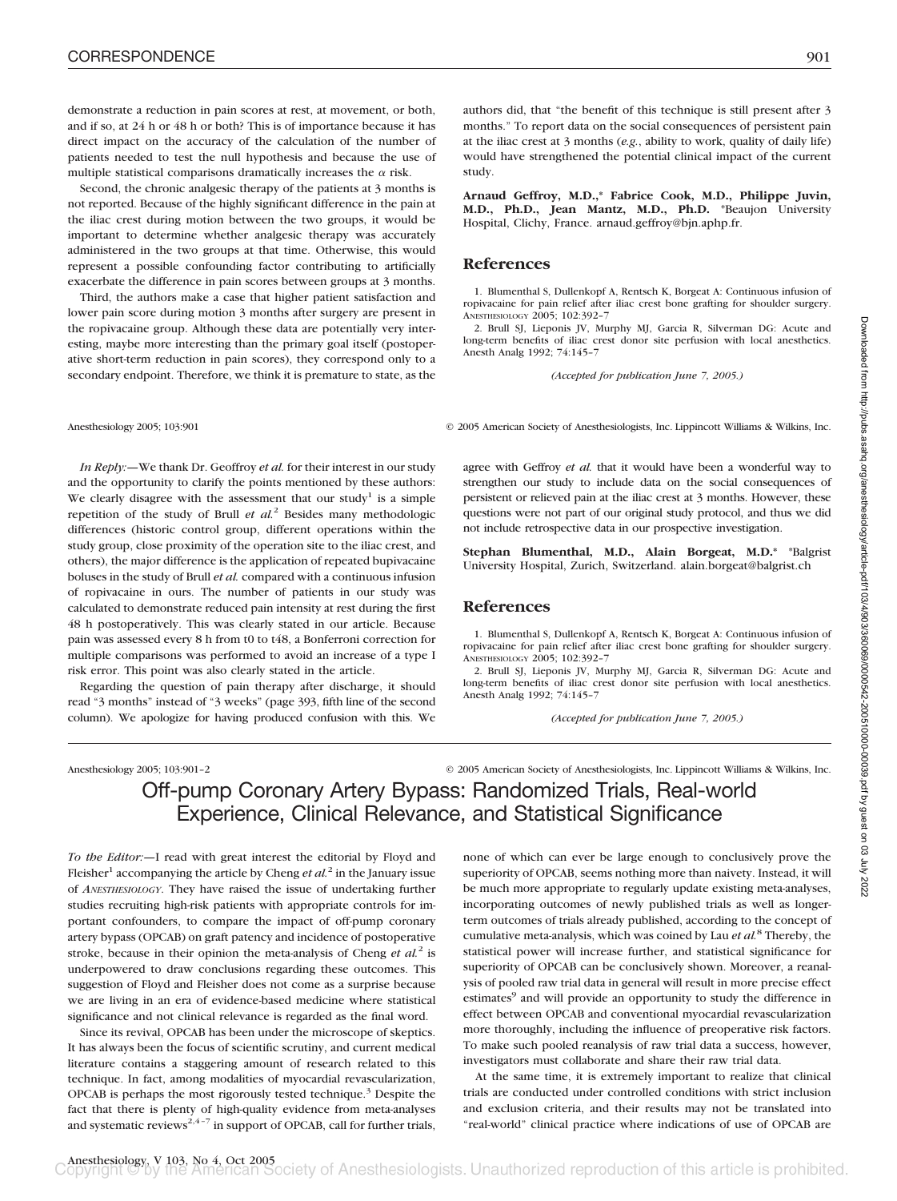demonstrate a reduction in pain scores at rest, at movement, or both, and if so, at 24 h or 48 h or both? This is of importance because it has direct impact on the accuracy of the calculation of the number of patients needed to test the null hypothesis and because the use of multiple statistical comparisons dramatically increases the  $\alpha$  risk.

Second, the chronic analgesic therapy of the patients at 3 months is not reported. Because of the highly significant difference in the pain at the iliac crest during motion between the two groups, it would be important to determine whether analgesic therapy was accurately administered in the two groups at that time. Otherwise, this would represent a possible confounding factor contributing to artificially exacerbate the difference in pain scores between groups at 3 months.

Third, the authors make a case that higher patient satisfaction and lower pain score during motion 3 months after surgery are present in the ropivacaine group. Although these data are potentially very interesting, maybe more interesting than the primary goal itself (postoperative short-term reduction in pain scores), they correspond only to a secondary endpoint. Therefore, we think it is premature to state, as the

*In Reply:—*We thank Dr. Geoffroy *et al.* for their interest in our study and the opportunity to clarify the points mentioned by these authors: We clearly disagree with the assessment that our study<sup>1</sup> is a simple repetition of the study of Brull *et al.*<sup>2</sup> Besides many methodologic differences (historic control group, different operations within the study group, close proximity of the operation site to the iliac crest, and others), the major difference is the application of repeated bupivacaine boluses in the study of Brull *et al.* compared with a continuous infusion of ropivacaine in ours. The number of patients in our study was calculated to demonstrate reduced pain intensity at rest during the first 48 h postoperatively. This was clearly stated in our article. Because pain was assessed every 8 h from t0 to t48, a Bonferroni correction for multiple comparisons was performed to avoid an increase of a type I risk error. This point was also clearly stated in the article.

Regarding the question of pain therapy after discharge, it should read "3 months" instead of "3 weeks" (page 393, fifth line of the second column). We apologize for having produced confusion with this. We

Anesthesiology 2005; 103:901–2 © 2005 American Society of Anesthesiologists, Inc. Lippincott Williams & Wilkins, Inc.

## Off-pump Coronary Artery Bypass: Randomized Trials, Real-world Experience, Clinical Relevance, and Statistical Significance

*To the Editor:—*I read with great interest the editorial by Floyd and Fleisher<sup>1</sup> accompanying the article by Cheng *et al.*<sup>2</sup> in the January issue of *ANESTHESIOLOGY*. They have raised the issue of undertaking further studies recruiting high-risk patients with appropriate controls for important confounders, to compare the impact of off-pump coronary artery bypass (OPCAB) on graft patency and incidence of postoperative stroke, because in their opinion the meta-analysis of Cheng *et al.*<sup>2</sup> is underpowered to draw conclusions regarding these outcomes. This suggestion of Floyd and Fleisher does not come as a surprise because we are living in an era of evidence-based medicine where statistical significance and not clinical relevance is regarded as the final word.

Since its revival, OPCAB has been under the microscope of skeptics. It has always been the focus of scientific scrutiny, and current medical literature contains a staggering amount of research related to this technique. In fact, among modalities of myocardial revascularization, OPCAB is perhaps the most rigorously tested technique.3 Despite the fact that there is plenty of high-quality evidence from meta-analyses and systematic reviews<sup>2,4-7</sup> in support of OPCAB, call for further trials, none of which can ever be large enough to conclusively prove the superiority of OPCAB, seems nothing more than naivety. Instead, it will be much more appropriate to regularly update existing meta-analyses, incorporating outcomes of newly published trials as well as longerterm outcomes of trials already published, according to the concept of cumulative meta-analysis, which was coined by Lau *et al.*<sup>8</sup> Thereby, the statistical power will increase further, and statistical significance for superiority of OPCAB can be conclusively shown. Moreover, a reanalysis of pooled raw trial data in general will result in more precise effect estimates<sup>9</sup> and will provide an opportunity to study the difference in effect between OPCAB and conventional myocardial revascularization more thoroughly, including the influence of preoperative risk factors. To make such pooled reanalysis of raw trial data a success, however, investigators must collaborate and share their raw trial data.

At the same time, it is extremely important to realize that clinical trials are conducted under controlled conditions with strict inclusion and exclusion criteria, and their results may not be translated into "real-world" clinical practice where indications of use of OPCAB are

authors did, that "the benefit of this technique is still present after 3 months." To report data on the social consequences of persistent pain at the iliac crest at 3 months (*e.g.*, ability to work, quality of daily life) would have strengthened the potential clinical impact of the current study.

**Arnaud Geffroy, M.D.,\* Fabrice Cook, M.D., Philippe Juvin, M.D., Ph.D., Jean Mantz, M.D., Ph.D.** \*Beaujon University Hospital, Clichy, France. arnaud.geffroy@bjn.aphp.fr.

#### **References**

1. Blumenthal S, Dullenkopf A, Rentsch K, Borgeat A: Continuous infusion of ropivacaine for pain relief after iliac crest bone grafting for shoulder surgery. ANESTHESIOLOGY 2005; 102:392–7

2. Brull SJ, Lieponis JV, Murphy MJ, Garcia R, Silverman DG: Acute and long-term benefits of iliac crest donor site perfusion with local anesthetics. Anesth Analg 1992; 74:145–7

*(Accepted for publication June 7, 2005.)*

Anesthesiology 2005; 103:901 © 2005 American Society of Anesthesiologists, Inc. Lippincott Williams & Wilkins, Inc.

agree with Geffroy *et al.* that it would have been a wonderful way to strengthen our study to include data on the social consequences of persistent or relieved pain at the iliac crest at 3 months. However, these questions were not part of our original study protocol, and thus we did not include retrospective data in our prospective investigation.

**Stephan Blumenthal, M.D., Alain Borgeat, M.D.\*** \*Balgrist University Hospital, Zurich, Switzerland. alain.borgeat@balgrist.ch

#### **References**

1. Blumenthal S, Dullenkopf A, Rentsch K, Borgeat A: Continuous infusion of ropivacaine for pain relief after iliac crest bone grafting for shoulder surgery. ANESTHESIOLOGY 2005; 102:392–7

2. Brull SJ, Lieponis JV, Murphy MJ, Garcia R, Silverman DG: Acute and long-term benefits of iliac crest donor site perfusion with local anesthetics. Anesth Analg 1992; 74:145–7

*(Accepted for publication June 7, 2005.)*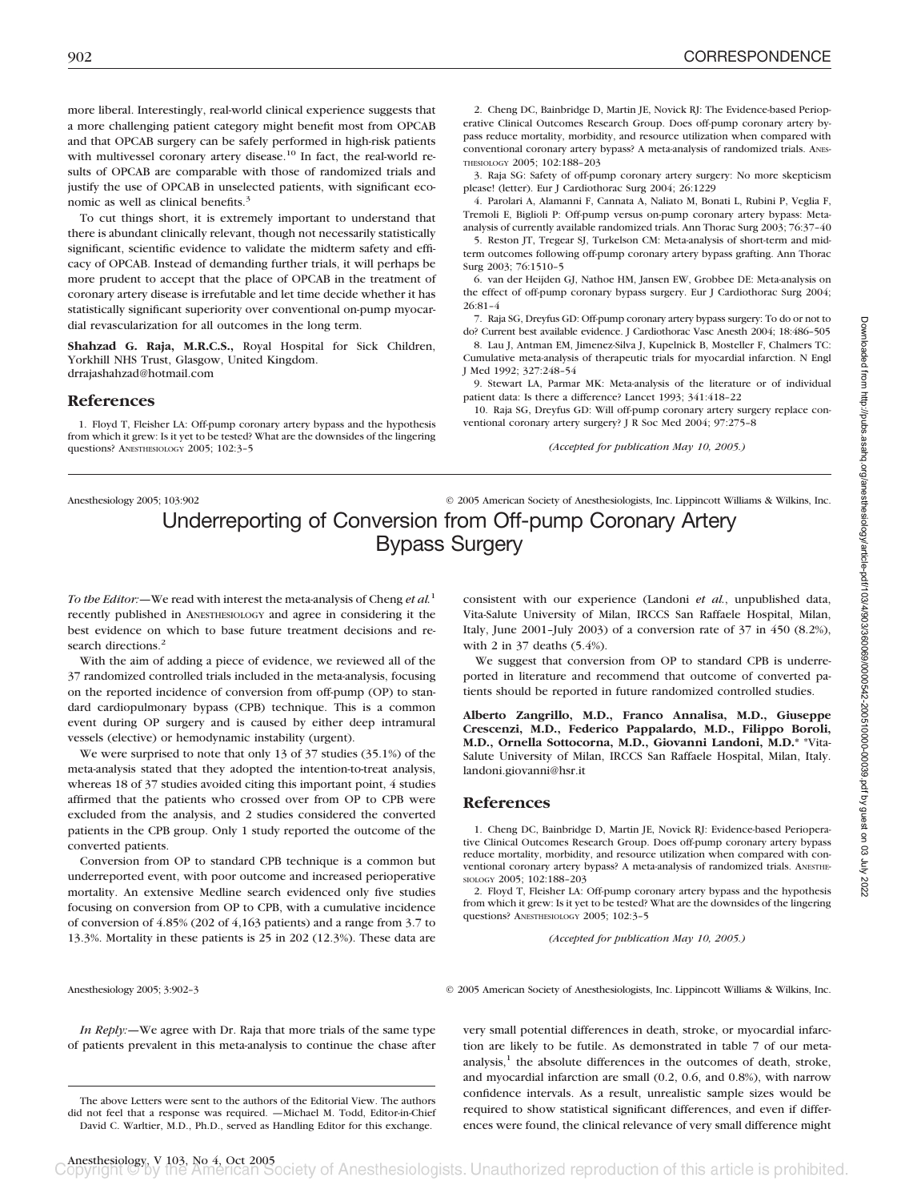more liberal. Interestingly, real-world clinical experience suggests that a more challenging patient category might benefit most from OPCAB and that OPCAB surgery can be safely performed in high-risk patients with multivessel coronary artery disease.<sup>10</sup> In fact, the real-world results of OPCAB are comparable with those of randomized trials and justify the use of OPCAB in unselected patients, with significant economic as well as clinical benefits.<sup>3</sup>

To cut things short, it is extremely important to understand that there is abundant clinically relevant, though not necessarily statistically significant, scientific evidence to validate the midterm safety and efficacy of OPCAB. Instead of demanding further trials, it will perhaps be more prudent to accept that the place of OPCAB in the treatment of coronary artery disease is irrefutable and let time decide whether it has statistically significant superiority over conventional on-pump myocardial revascularization for all outcomes in the long term.

**Shahzad G. Raja, M.R.C.S.,** Royal Hospital for Sick Children, Yorkhill NHS Trust, Glasgow, United Kingdom. drrajashahzad@hotmail.com

#### **References**

1. Floyd T, Fleisher LA: Off-pump coronary artery bypass and the hypothesis from which it grew: Is it yet to be tested? What are the downsides of the lingering questions? ANESTHESIOLOGY 2005; 102:3–5

2. Cheng DC, Bainbridge D, Martin JE, Novick RJ: The Evidence-based Perioperative Clinical Outcomes Research Group. Does off-pump coronary artery bypass reduce mortality, morbidity, and resource utilization when compared with conventional coronary artery bypass? A meta-analysis of randomized trials. ANES-THESIOLOGY 2005; 102:188–203

3. Raja SG: Safety of off-pump coronary artery surgery: No more skepticism please! (letter). Eur J Cardiothorac Surg 2004; 26:1229

4. Parolari A, Alamanni F, Cannata A, Naliato M, Bonati L, Rubini P, Veglia F, Tremoli E, Biglioli P: Off-pump versus on-pump coronary artery bypass: Metaanalysis of currently available randomized trials. Ann Thorac Surg 2003; 76:37–40

5. Reston JT, Tregear SJ, Turkelson CM: Meta-analysis of short-term and midterm outcomes following off-pump coronary artery bypass grafting. Ann Thorac Surg 2003; 76:1510–5

6. van der Heijden GJ, Nathoe HM, Jansen EW, Grobbee DE: Meta-analysis on the effect of off-pump coronary bypass surgery. Eur J Cardiothorac Surg 2004; 26:81–4

7. Raja SG, Dreyfus GD: Off-pump coronary artery bypass surgery: To do or not to do? Current best available evidence. J Cardiothorac Vasc Anesth 2004; 18:486–505

8. Lau J, Antman EM, Jimenez-Silva J, Kupelnick B, Mosteller F, Chalmers TC: Cumulative meta-analysis of therapeutic trials for myocardial infarction. N Engl J Med 1992; 327:248–54

9. Stewart LA, Parmar MK: Meta-analysis of the literature or of individual patient data: Is there a difference? Lancet 1993; 341:418–22

10. Raja SG, Dreyfus GD: Will off-pump coronary artery surgery replace conventional coronary artery surgery? J R Soc Med 2004; 97:275–8

*(Accepted for publication May 10, 2005.)*

## Anesthesiology 2005; 103:902 © 2005 American Society of Anesthesiologists, Inc. Lippincott Williams & Wilkins, Inc. Underreporting of Conversion from Off-pump Coronary Artery Bypass Surgery

*To the Editor:—*We read with interest the meta-analysis of Cheng *et al.*<sup>1</sup> recently published in ANESTHESIOLOGY and agree in considering it the best evidence on which to base future treatment decisions and research directions.<sup>2</sup>

With the aim of adding a piece of evidence, we reviewed all of the 37 randomized controlled trials included in the meta-analysis, focusing on the reported incidence of conversion from off-pump (OP) to standard cardiopulmonary bypass (CPB) technique. This is a common event during OP surgery and is caused by either deep intramural vessels (elective) or hemodynamic instability (urgent).

We were surprised to note that only 13 of 37 studies (35.1%) of the meta-analysis stated that they adopted the intention-to-treat analysis, whereas 18 of 37 studies avoided citing this important point, 4 studies affirmed that the patients who crossed over from OP to CPB were excluded from the analysis, and 2 studies considered the converted patients in the CPB group. Only 1 study reported the outcome of the converted patients.

Conversion from OP to standard CPB technique is a common but underreported event, with poor outcome and increased perioperative mortality. An extensive Medline search evidenced only five studies focusing on conversion from OP to CPB, with a cumulative incidence of conversion of 4.85% (202 of 4,163 patients) and a range from 3.7 to 13.3%. Mortality in these patients is 25 in 202 (12.3%). These data are

*In Reply:—*We agree with Dr. Raja that more trials of the same type of patients prevalent in this meta-analysis to continue the chase after

The above Letters were sent to the authors of the Editorial View. The authors did not feel that a response was required. —Michael M. Todd, Editor-in-Chief David C. Warltier, M.D., Ph.D., served as Handling Editor for this exchange.

consistent with our experience (Landoni *et al.*, unpublished data, Vita-Salute University of Milan, IRCCS San Raffaele Hospital, Milan, Italy, June 2001–July 2003) of a conversion rate of 37 in 450 (8.2%), with 2 in 37 deaths (5.4%).

We suggest that conversion from OP to standard CPB is underreported in literature and recommend that outcome of converted patients should be reported in future randomized controlled studies.

**Alberto Zangrillo, M.D., Franco Annalisa, M.D., Giuseppe Crescenzi, M.D., Federico Pappalardo, M.D., Filippo Boroli, M.D., Ornella Sottocorna, M.D., Giovanni Landoni, M.D.\*** \*Vita-Salute University of Milan, IRCCS San Raffaele Hospital, Milan, Italy. landoni.giovanni@hsr.it

#### **References**

1. Cheng DC, Bainbridge D, Martin JE, Novick RJ: Evidence-based Perioperative Clinical Outcomes Research Group. Does off-pump coronary artery bypass reduce mortality, morbidity, and resource utilization when compared with conventional coronary artery bypass? A meta-analysis of randomized trials. ANESTHE-SIOLOGY 2005; 102:188–203

2. Floyd T, Fleisher LA: Off-pump coronary artery bypass and the hypothesis from which it grew: Is it yet to be tested? What are the downsides of the lingering questions? ANESTHESIOLOGY 2005; 102:3–5

*(Accepted for publication May 10, 2005.)*

Anesthesiology 2005; 3:902–3 © 2005 American Society of Anesthesiologists, Inc. Lippincott Williams & Wilkins, Inc.

very small potential differences in death, stroke, or myocardial infarction are likely to be futile. As demonstrated in table 7 of our metaanalysis, $<sup>1</sup>$  the absolute differences in the outcomes of death, stroke,</sup> and myocardial infarction are small (0.2, 0.6, and 0.8%), with narrow confidence intervals. As a result, unrealistic sample sizes would be required to show statistical significant differences, and even if differences were found, the clinical relevance of very small difference might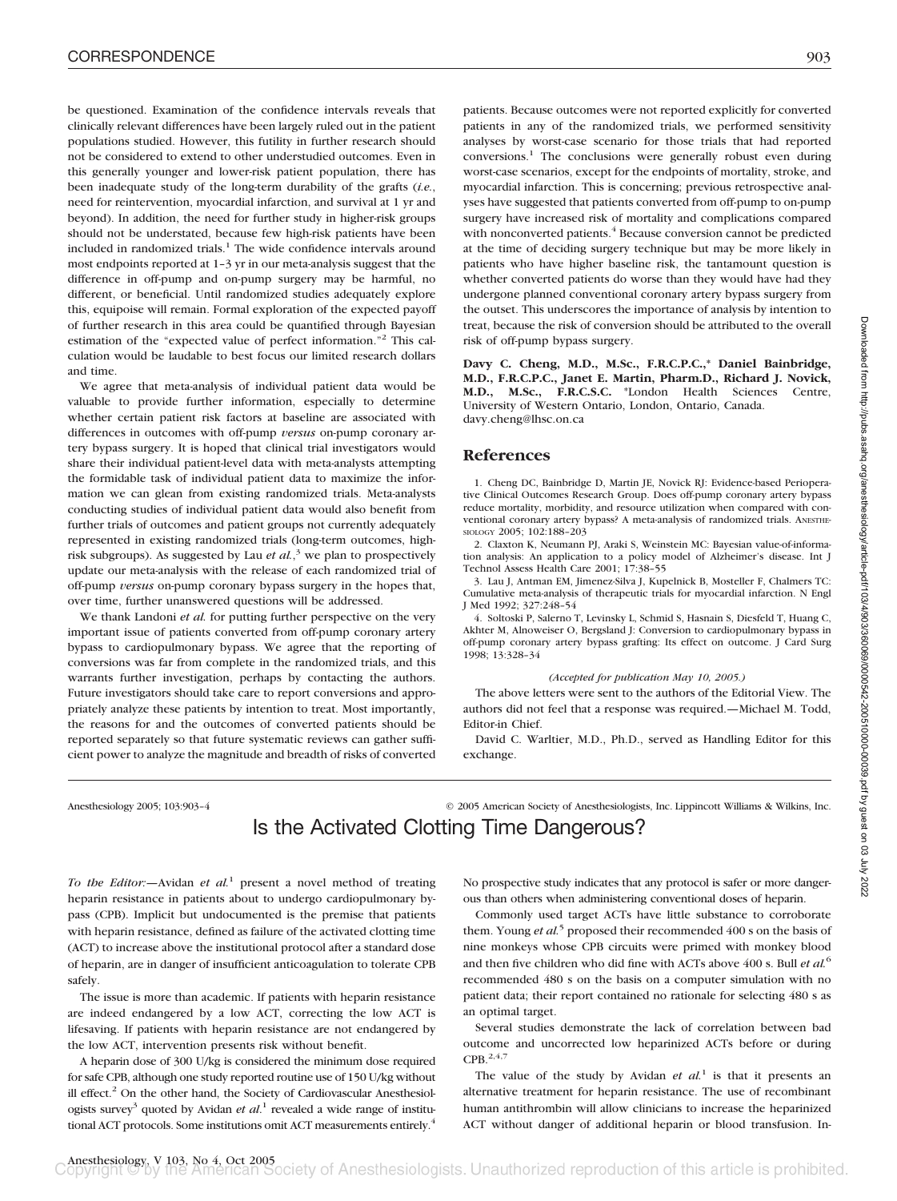be questioned. Examination of the confidence intervals reveals that clinically relevant differences have been largely ruled out in the patient populations studied. However, this futility in further research should not be considered to extend to other understudied outcomes. Even in this generally younger and lower-risk patient population, there has been inadequate study of the long-term durability of the grafts (*i.e.*, need for reintervention, myocardial infarction, and survival at 1 yr and beyond). In addition, the need for further study in higher-risk groups should not be understated, because few high-risk patients have been included in randomized trials.<sup>1</sup> The wide confidence intervals around most endpoints reported at 1–3 yr in our meta-analysis suggest that the difference in off-pump and on-pump surgery may be harmful, no different, or beneficial. Until randomized studies adequately explore this, equipoise will remain. Formal exploration of the expected payoff of further research in this area could be quantified through Bayesian estimation of the "expected value of perfect information."<sup>2</sup> This calculation would be laudable to best focus our limited research dollars and time.

We agree that meta-analysis of individual patient data would be valuable to provide further information, especially to determine whether certain patient risk factors at baseline are associated with differences in outcomes with off-pump *versus* on-pump coronary artery bypass surgery. It is hoped that clinical trial investigators would share their individual patient-level data with meta-analysts attempting the formidable task of individual patient data to maximize the information we can glean from existing randomized trials. Meta-analysts conducting studies of individual patient data would also benefit from further trials of outcomes and patient groups not currently adequately represented in existing randomized trials (long-term outcomes, highrisk subgroups). As suggested by Lau *et al.*, <sup>3</sup> we plan to prospectively update our meta-analysis with the release of each randomized trial of off-pump *versus* on-pump coronary bypass surgery in the hopes that, over time, further unanswered questions will be addressed.

We thank Landoni *et al.* for putting further perspective on the very important issue of patients converted from off-pump coronary artery bypass to cardiopulmonary bypass. We agree that the reporting of conversions was far from complete in the randomized trials, and this warrants further investigation, perhaps by contacting the authors. Future investigators should take care to report conversions and appropriately analyze these patients by intention to treat. Most importantly, the reasons for and the outcomes of converted patients should be reported separately so that future systematic reviews can gather sufficient power to analyze the magnitude and breadth of risks of converted

patients. Because outcomes were not reported explicitly for converted patients in any of the randomized trials, we performed sensitivity analyses by worst-case scenario for those trials that had reported conversions.<sup>1</sup> The conclusions were generally robust even during worst-case scenarios, except for the endpoints of mortality, stroke, and myocardial infarction. This is concerning; previous retrospective analyses have suggested that patients converted from off-pump to on-pump surgery have increased risk of mortality and complications compared with nonconverted patients.<sup>4</sup> Because conversion cannot be predicted at the time of deciding surgery technique but may be more likely in patients who have higher baseline risk, the tantamount question is whether converted patients do worse than they would have had they undergone planned conventional coronary artery bypass surgery from the outset. This underscores the importance of analysis by intention to treat, because the risk of conversion should be attributed to the overall risk of off-pump bypass surgery.

**Davy C. Cheng, M.D., M.Sc., F.R.C.P.C.,\* Daniel Bainbridge, M.D., F.R.C.P.C., Janet E. Martin, Pharm.D., Richard J. Novick, M.D., M.Sc., F.R.C.S.C.** \*London Health Sciences Centre, University of Western Ontario, London, Ontario, Canada. davy.cheng@lhsc.on.ca

#### **References**

1. Cheng DC, Bainbridge D, Martin JE, Novick RJ: Evidence-based Perioperative Clinical Outcomes Research Group. Does off-pump coronary artery bypass reduce mortality, morbidity, and resource utilization when compared with conventional coronary artery bypass? A meta-analysis of randomized trials. ANESTHE-SIOLOGY 2005; 102:188–203

2. Claxton K, Neumann PJ, Araki S, Weinstein MC: Bayesian value-of-information analysis: An application to a policy model of Alzheimer's disease. Int J Technol Assess Health Care 2001; 17:38–55

3. Lau J, Antman EM, Jimenez-Silva J, Kupelnick B, Mosteller F, Chalmers TC: Cumulative meta-analysis of therapeutic trials for myocardial infarction. N Engl J Med 1992; 327:248–54

4. Soltoski P, Salerno T, Levinsky L, Schmid S, Hasnain S, Diesfeld T, Huang C, Akhter M, Alnoweiser O, Bergsland J: Conversion to cardiopulmonary bypass in off-pump coronary artery bypass grafting: Its effect on outcome. J Card Surg 1998; 13:328–34

#### *(Accepted for publication May 10, 2005.)*

The above letters were sent to the authors of the Editorial View. The authors did not feel that a response was required.—Michael M. Todd, Editor-in Chief.

David C. Warltier, M.D., Ph.D., served as Handling Editor for this exchange.

Anesthesiology 2005; 103:903-4 © 2005 American Society of Anesthesiologists, Inc. Lippincott Williams & Wilkins, Inc.

# Is the Activated Clotting Time Dangerous?

*To the Editor:—*Avidan *et al.*<sup>1</sup> present a novel method of treating heparin resistance in patients about to undergo cardiopulmonary bypass (CPB). Implicit but undocumented is the premise that patients with heparin resistance, defined as failure of the activated clotting time (ACT) to increase above the institutional protocol after a standard dose of heparin, are in danger of insufficient anticoagulation to tolerate CPB safely.

The issue is more than academic. If patients with heparin resistance are indeed endangered by a low ACT, correcting the low ACT is lifesaving. If patients with heparin resistance are not endangered by the low ACT, intervention presents risk without benefit.

A heparin dose of 300 U/kg is considered the minimum dose required for safe CPB, although one study reported routine use of 150 U/kg without ill effect.<sup>2</sup> On the other hand, the Society of Cardiovascular Anesthesiologists survey<sup>3</sup> quoted by Avidan *et al.*<sup>1</sup> revealed a wide range of institutional ACT protocols. Some institutions omit ACT measurements entirely.4

No prospective study indicates that any protocol is safer or more dangerous than others when administering conventional doses of heparin.

Commonly used target ACTs have little substance to corroborate them. Young *et al.*<sup>5</sup> proposed their recommended 400 s on the basis of nine monkeys whose CPB circuits were primed with monkey blood and then five children who did fine with ACTs above 400 s. Bull *et al.*<sup>6</sup> recommended 480 s on the basis on a computer simulation with no patient data; their report contained no rationale for selecting 480 s as an optimal target.

Several studies demonstrate the lack of correlation between bad outcome and uncorrected low heparinized ACTs before or during  $CPB.$ <sup>2,4,7</sup>

The value of the study by Avidan  $et \text{ } al.^1$  is that it presents an alternative treatment for heparin resistance. The use of recombinant human antithrombin will allow clinicians to increase the heparinized ACT without danger of additional heparin or blood transfusion. In-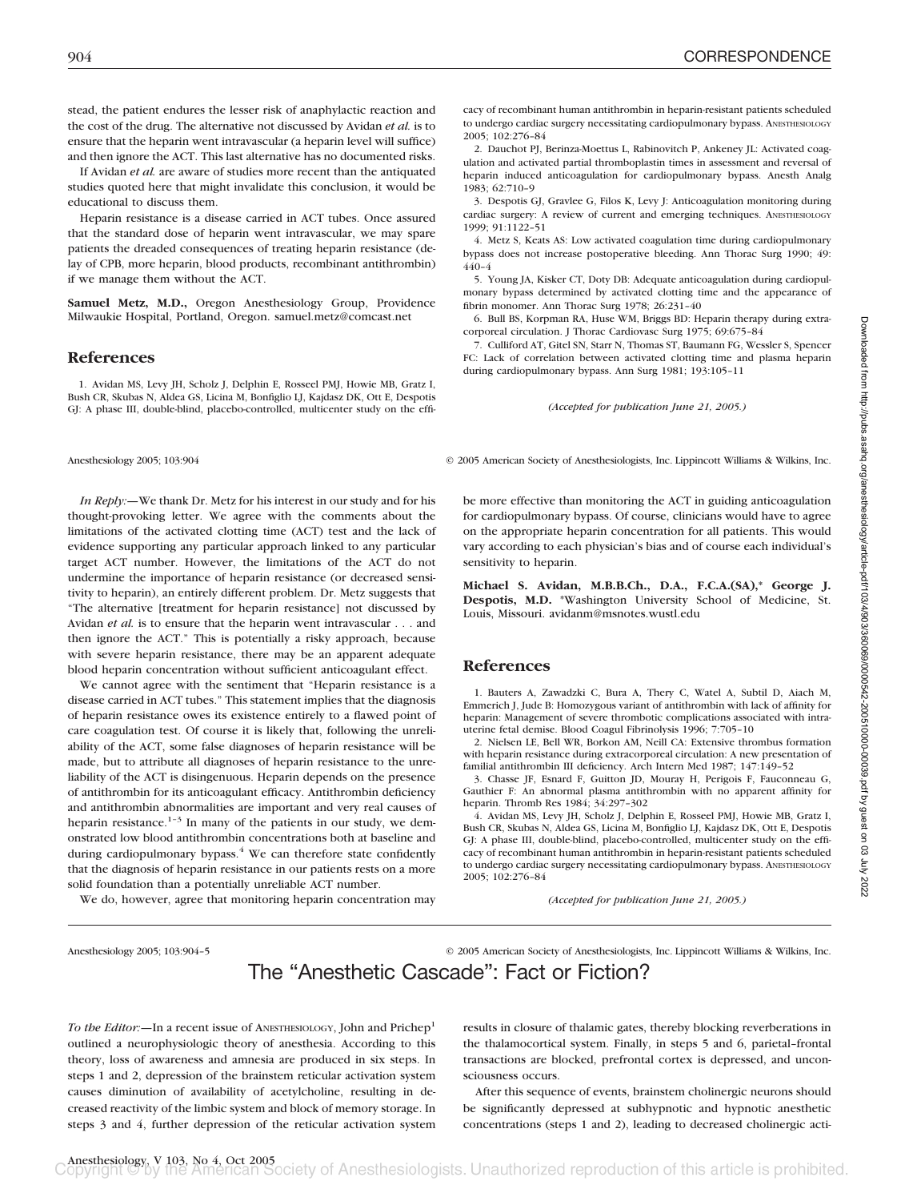stead, the patient endures the lesser risk of anaphylactic reaction and the cost of the drug. The alternative not discussed by Avidan *et al.* is to ensure that the heparin went intravascular (a heparin level will suffice) and then ignore the ACT. This last alternative has no documented risks.

If Avidan *et al.* are aware of studies more recent than the antiquated studies quoted here that might invalidate this conclusion, it would be educational to discuss them.

Heparin resistance is a disease carried in ACT tubes. Once assured that the standard dose of heparin went intravascular, we may spare patients the dreaded consequences of treating heparin resistance (delay of CPB, more heparin, blood products, recombinant antithrombin) if we manage them without the ACT.

**Samuel Metz, M.D.,** Oregon Anesthesiology Group, Providence Milwaukie Hospital, Portland, Oregon. samuel.metz@comcast.net

#### **References**

1. Avidan MS, Levy JH, Scholz J, Delphin E, Rosseel PMJ, Howie MB, Gratz I, Bush CR, Skubas N, Aldea GS, Licina M, Bonfiglio LJ, Kajdasz DK, Ott E, Despotis GJ: A phase III, double-blind, placebo-controlled, multicenter study on the effi-

*In Reply:—*We thank Dr. Metz for his interest in our study and for his thought-provoking letter. We agree with the comments about the limitations of the activated clotting time (ACT) test and the lack of evidence supporting any particular approach linked to any particular target ACT number. However, the limitations of the ACT do not undermine the importance of heparin resistance (or decreased sensitivity to heparin), an entirely different problem. Dr. Metz suggests that "The alternative [treatment for heparin resistance] not discussed by Avidan *et al.* is to ensure that the heparin went intravascular . . . and then ignore the ACT." This is potentially a risky approach, because with severe heparin resistance, there may be an apparent adequate blood heparin concentration without sufficient anticoagulant effect.

We cannot agree with the sentiment that "Heparin resistance is a disease carried in ACT tubes." This statement implies that the diagnosis of heparin resistance owes its existence entirely to a flawed point of care coagulation test. Of course it is likely that, following the unreliability of the ACT, some false diagnoses of heparin resistance will be made, but to attribute all diagnoses of heparin resistance to the unreliability of the ACT is disingenuous. Heparin depends on the presence of antithrombin for its anticoagulant efficacy. Antithrombin deficiency and antithrombin abnormalities are important and very real causes of heparin resistance. $1-3$  In many of the patients in our study, we demonstrated low blood antithrombin concentrations both at baseline and during cardiopulmonary bypass.<sup>4</sup> We can therefore state confidently that the diagnosis of heparin resistance in our patients rests on a more solid foundation than a potentially unreliable ACT number.

We do, however, agree that monitoring heparin concentration may

cacy of recombinant human antithrombin in heparin-resistant patients scheduled to undergo cardiac surgery necessitating cardiopulmonary bypass. ANESTHESIOLOGY 2005; 102:276–84

2. Dauchot PJ, Berinza-Moettus L, Rabinovitch P, Ankeney JL: Activated coagulation and activated partial thromboplastin times in assessment and reversal of heparin induced anticoagulation for cardiopulmonary bypass. Anesth Analg 1983; 62:710–9

3. Despotis GJ, Gravlee G, Filos K, Levy J: Anticoagulation monitoring during cardiac surgery: A review of current and emerging techniques. ANESTHESIOLOGY 1999; 91:1122–51

4. Metz S, Keats AS: Low activated coagulation time during cardiopulmonary bypass does not increase postoperative bleeding. Ann Thorac Surg 1990; 49: 440–4

5. Young JA, Kisker CT, Doty DB: Adequate anticoagulation during cardiopulmonary bypass determined by activated clotting time and the appearance of fibrin monomer. Ann Thorac Surg 1978; 26:231–40

6. Bull BS, Korpman RA, Huse WM, Briggs BD: Heparin therapy during extracorporeal circulation. J Thorac Cardiovasc Surg 1975; 69:675–84

7. Culliford AT, Gitel SN, Starr N, Thomas ST, Baumann FG, Wessler S, Spencer FC: Lack of correlation between activated clotting time and plasma heparin during cardiopulmonary bypass. Ann Surg 1981; 193:105–11

*(Accepted for publication June 21, 2005.)*

Anesthesiology 2005; 103:904 © 2005 American Society of Anesthesiologists, Inc. Lippincott Williams & Wilkins, Inc.

be more effective than monitoring the ACT in guiding anticoagulation for cardiopulmonary bypass. Of course, clinicians would have to agree on the appropriate heparin concentration for all patients. This would vary according to each physician's bias and of course each individual's sensitivity to heparin.

**Michael S. Avidan, M.B.B.Ch., D.A., F.C.A.(SA),\* George J. Despotis, M.D.** \*Washington University School of Medicine, St. Louis, Missouri. avidanm@msnotes.wustl.edu

#### **References**

1. Bauters A, Zawadzki C, Bura A, Thery C, Watel A, Subtil D, Aiach M, Emmerich J, Jude B: Homozygous variant of antithrombin with lack of affinity for heparin: Management of severe thrombotic complications associated with intrauterine fetal demise. Blood Coagul Fibrinolysis 1996; 7:705–10

2. Nielsen LE, Bell WR, Borkon AM, Neill CA: Extensive thrombus formation with heparin resistance during extracorporeal circulation: A new presentation of familial antithrombin III deficiency. Arch Intern Med 1987; 147:149–52

3. Chasse JF, Esnard F, Guitton JD, Mouray H, Perigois F, Fauconneau G, Gauthier F: An abnormal plasma antithrombin with no apparent affinity for heparin. Thromb Res 1984; 34:297–302

4. Avidan MS, Levy JH, Scholz J, Delphin E, Rosseel PMJ, Howie MB, Gratz I, Bush CR, Skubas N, Aldea GS, Licina M, Bonfiglio LJ, Kajdasz DK, Ott E, Despotis GJ: A phase III, double-blind, placebo-controlled, multicenter study on the efficacy of recombinant human antithrombin in heparin-resistant patients scheduled to undergo cardiac surgery necessitating cardiopulmonary bypass. ANESTHESIOLOGY 2005; 102:276–84

*(Accepted for publication June 21, 2005.)*

Anesthesiology 2005; 103:904–5 © 2005 American Society of Anesthesiologists, Inc. Lippincott Williams & Wilkins, Inc. The "Anesthetic Cascade": Fact or Fiction?

*To the Editor:*—In a recent issue of ANESTHESIOLOGY, John and Prichep<sup>1</sup> outlined a neurophysiologic theory of anesthesia. According to this theory, loss of awareness and amnesia are produced in six steps. In steps 1 and 2, depression of the brainstem reticular activation system causes diminution of availability of acetylcholine, resulting in decreased reactivity of the limbic system and block of memory storage. In steps 3 and 4, further depression of the reticular activation system

results in closure of thalamic gates, thereby blocking reverberations in the thalamocortical system. Finally, in steps 5 and 6, parietal–frontal transactions are blocked, prefrontal cortex is depressed, and unconsciousness occurs.

After this sequence of events, brainstem cholinergic neurons should be significantly depressed at subhypnotic and hypnotic anesthetic concentrations (steps 1 and 2), leading to decreased cholinergic actiDownloaded from http://pubs.asahq.org/anesthesiology/article-pdf/103/4/8003/360069402200510000030.pdf by guest on 03 July 2022 Downloaded from http://pubs.asahq.org/anesthesiology/article-pdf/103/4/903/360069/0000542-200510000-00039.pdf by guest on 03 July 2022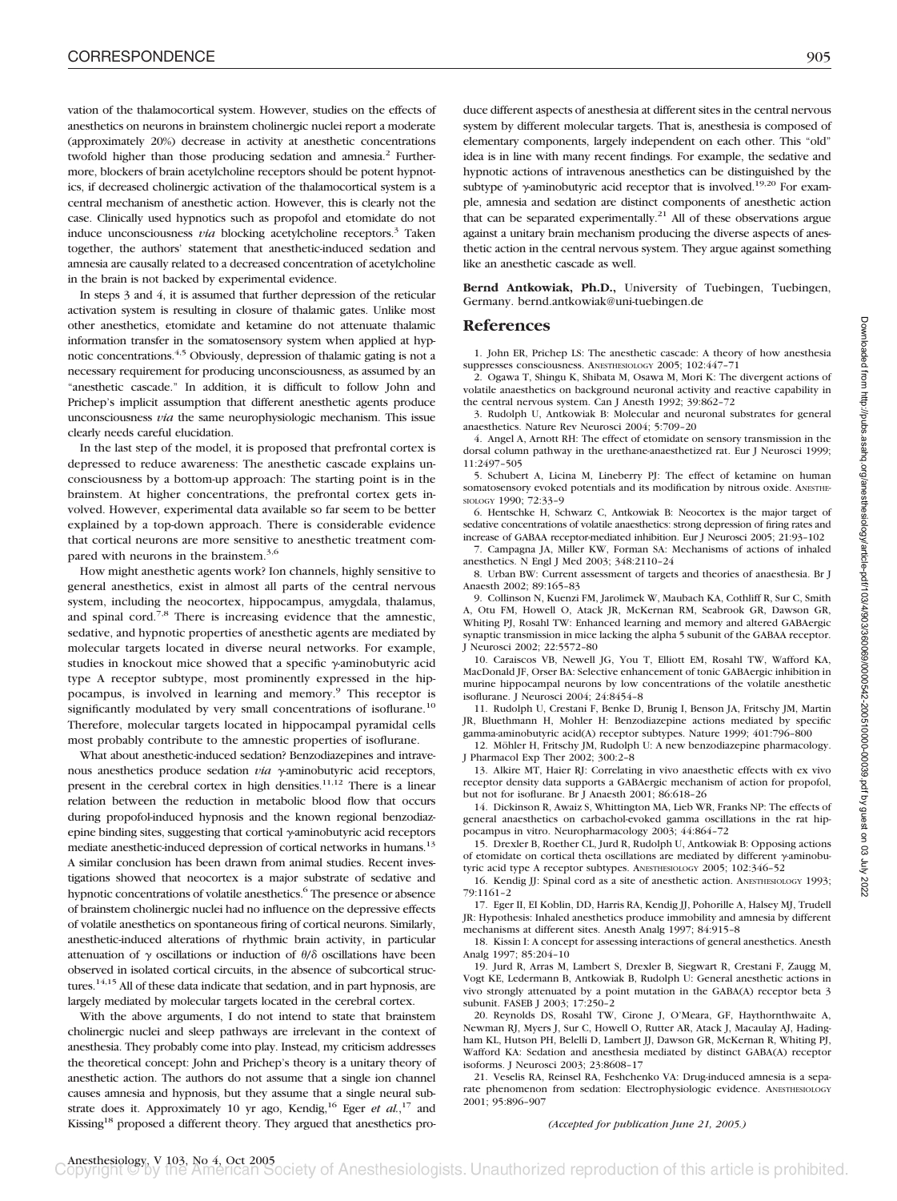vation of the thalamocortical system. However, studies on the effects of anesthetics on neurons in brainstem cholinergic nuclei report a moderate (approximately 20%) decrease in activity at anesthetic concentrations twofold higher than those producing sedation and amnesia.<sup>2</sup> Furthermore, blockers of brain acetylcholine receptors should be potent hypnotics, if decreased cholinergic activation of the thalamocortical system is a central mechanism of anesthetic action. However, this is clearly not the case. Clinically used hypnotics such as propofol and etomidate do not induce unconsciousness *via* blocking acetylcholine receptors.<sup>3</sup> Taken together, the authors' statement that anesthetic-induced sedation and amnesia are causally related to a decreased concentration of acetylcholine in the brain is not backed by experimental evidence.

In steps 3 and 4, it is assumed that further depression of the reticular activation system is resulting in closure of thalamic gates. Unlike most other anesthetics, etomidate and ketamine do not attenuate thalamic information transfer in the somatosensory system when applied at hypnotic concentrations.4,5 Obviously, depression of thalamic gating is not a necessary requirement for producing unconsciousness, as assumed by an "anesthetic cascade." In addition, it is difficult to follow John and Prichep's implicit assumption that different anesthetic agents produce unconsciousness *via* the same neurophysiologic mechanism. This issue clearly needs careful elucidation.

In the last step of the model, it is proposed that prefrontal cortex is depressed to reduce awareness: The anesthetic cascade explains unconsciousness by a bottom-up approach: The starting point is in the brainstem. At higher concentrations, the prefrontal cortex gets involved. However, experimental data available so far seem to be better explained by a top-down approach. There is considerable evidence that cortical neurons are more sensitive to anesthetic treatment compared with neurons in the brainstem.3,6

How might anesthetic agents work? Ion channels, highly sensitive to general anesthetics, exist in almost all parts of the central nervous system, including the neocortex, hippocampus, amygdala, thalamus, and spinal cord.7,8 There is increasing evidence that the amnestic, sedative, and hypnotic properties of anesthetic agents are mediated by molecular targets located in diverse neural networks. For example, studies in knockout mice showed that a specific  $\gamma$ -aminobutyric acid type A receptor subtype, most prominently expressed in the hippocampus, is involved in learning and memory.9 This receptor is significantly modulated by very small concentrations of isoflurane.<sup>10</sup> Therefore, molecular targets located in hippocampal pyramidal cells most probably contribute to the amnestic properties of isoflurane.

What about anesthetic-induced sedation? Benzodiazepines and intravenous anesthetics produce sedation *via*  $\gamma$ aminobutyric acid receptors, present in the cerebral cortex in high densities.<sup>11,12</sup> There is a linear relation between the reduction in metabolic blood flow that occurs during propofol-induced hypnosis and the known regional benzodiazepine binding sites, suggesting that cortical  $\gamma$ -aminobutyric acid receptors mediate anesthetic-induced depression of cortical networks in humans.<sup>13</sup> A similar conclusion has been drawn from animal studies. Recent investigations showed that neocortex is a major substrate of sedative and hypnotic concentrations of volatile anesthetics.<sup>6</sup> The presence or absence of brainstem cholinergic nuclei had no influence on the depressive effects of volatile anesthetics on spontaneous firing of cortical neurons. Similarly, anesthetic-induced alterations of rhythmic brain activity, in particular attenuation of  $\gamma$  oscillations or induction of  $\theta/\delta$  oscillations have been observed in isolated cortical circuits, in the absence of subcortical structures.<sup>14,15</sup> All of these data indicate that sedation, and in part hypnosis, are largely mediated by molecular targets located in the cerebral cortex.

With the above arguments, I do not intend to state that brainstem cholinergic nuclei and sleep pathways are irrelevant in the context of anesthesia. They probably come into play. Instead, my criticism addresses the theoretical concept: John and Prichep's theory is a unitary theory of anesthetic action. The authors do not assume that a single ion channel causes amnesia and hypnosis, but they assume that a single neural substrate does it. Approximately 10 yr ago, Kendig,<sup>16</sup> Eger *et al.*,<sup>17</sup> and Kissing<sup>18</sup> proposed a different theory. They argued that anesthetics produce different aspects of anesthesia at different sites in the central nervous system by different molecular targets. That is, anesthesia is composed of elementary components, largely independent on each other. This "old" idea is in line with many recent findings. For example, the sedative and hypnotic actions of intravenous anesthetics can be distinguished by the subtype of  $\gamma$ aminobutyric acid receptor that is involved.<sup>19,20</sup> For example, amnesia and sedation are distinct components of anesthetic action that can be separated experimentally.<sup>21</sup> All of these observations argue against a unitary brain mechanism producing the diverse aspects of anesthetic action in the central nervous system. They argue against something

**Bernd Antkowiak, Ph.D.,** University of Tuebingen, Tuebingen, Germany. bernd.antkowiak@uni-tuebingen.de

#### **References**

like an anesthetic cascade as well.

1. John ER, Prichep LS: The anesthetic cascade: A theory of how anesthesia suppresses consciousness. ANESTHESIOLOGY 2005; 102:447–71

2. Ogawa T, Shingu K, Shibata M, Osawa M, Mori K: The divergent actions of volatile anaesthetics on background neuronal activity and reactive capability in the central nervous system. Can J Anesth 1992; 39:862–72

3. Rudolph U, Antkowiak B: Molecular and neuronal substrates for general anaesthetics. Nature Rev Neurosci 2004; 5:709–20

4. Angel A, Arnott RH: The effect of etomidate on sensory transmission in the dorsal column pathway in the urethane-anaesthetized rat. Eur J Neurosci 1999; 11:2497–505

5. Schubert A, Licina M, Lineberry PJ: The effect of ketamine on human somatosensory evoked potentials and its modification by nitrous oxide. ANESTHE-SIOLOGY 1990; 72:33–9

6. Hentschke H, Schwarz C, Antkowiak B: Neocortex is the major target of sedative concentrations of volatile anaesthetics: strong depression of firing rates and increase of GABAA receptor-mediated inhibition. Eur J Neurosci 2005; 21:93–102 7. Campagna JA, Miller KW, Forman SA: Mechanisms of actions of inhaled

anesthetics. N Engl J Med 2003; 348:2110–24

8. Urban BW: Current assessment of targets and theories of anaesthesia. Br J Anaesth 2002; 89:165–83

9. Collinson N, Kuenzi FM, Jarolimek W, Maubach KA, Cothliff R, Sur C, Smith A, Otu FM, Howell O, Atack JR, McKernan RM, Seabrook GR, Dawson GR, Whiting PJ, Rosahl TW: Enhanced learning and memory and altered GABAergic synaptic transmission in mice lacking the alpha 5 subunit of the GABAA receptor. J Neurosci 2002; 22:5572–80

10. Caraiscos VB, Newell JG, You T, Elliott EM, Rosahl TW, Wafford KA, MacDonald JF, Orser BA: Selective enhancement of tonic GABAergic inhibition in murine hippocampal neurons by low concentrations of the volatile anesthetic isoflurane. J Neurosci 2004; 24:8454–8

11. Rudolph U, Crestani F, Benke D, Brunig I, Benson JA, Fritschy JM, Martin JR, Bluethmann H, Mohler H: Benzodiazepine actions mediated by specific gamma-aminobutyric acid(A) receptor subtypes. Nature 1999; 401:796–800

12. Möhler H, Fritschy JM, Rudolph U: A new benzodiazepine pharmacology. J Pharmacol Exp Ther 2002; 300:2–8

13. Alkire MT, Haier RJ: Correlating in vivo anaesthetic effects with ex vivo receptor density data supports a GABAergic mechanism of action for propofol, but not for isoflurane. Br J Anaesth 2001; 86:618–26

14. Dickinson R, Awaiz S, Whittington MA, Lieb WR, Franks NP: The effects of general anaesthetics on carbachol-evoked gamma oscillations in the rat hippocampus in vitro. Neuropharmacology 2003; 44:864–72

15. Drexler B, Roether CL, Jurd R, Rudolph U, Antkowiak B: Opposing actions of etomidate on cortical theta oscillations are mediated by different  $\gamma$ -aminobutyric acid type A receptor subtypes. ANESTHESIOLOGY 2005; 102:346–52

16. Kendig JJ: Spinal cord as a site of anesthetic action. ANESTHESIOLOGY 1993; 79:1161–2

17. Eger II, EI Koblin, DD, Harris RA, Kendig JJ, Pohorille A, Halsey MJ, Trudell JR: Hypothesis: Inhaled anesthetics produce immobility and amnesia by different mechanisms at different sites. Anesth Analg 1997; 84:915–8

18. Kissin I: A concept for assessing interactions of general anesthetics. Anesth Analg 1997; 85:204–10

19. Jurd R, Arras M, Lambert S, Drexler B, Siegwart R, Crestani F, Zaugg M, Vogt KE, Ledermann B, Antkowiak B, Rudolph U: General anesthetic actions in vivo strongly attenuated by a point mutation in the GABA(A) receptor beta 3 subunit. FASEB J 2003; 17:250–2

20. Reynolds DS, Rosahl TW, Cirone J, O'Meara, GF, Haythornthwaite A, Newman RJ, Myers J, Sur C, Howell O, Rutter AR, Atack J, Macaulay AJ, Hadingham KL, Hutson PH, Belelli D, Lambert JJ, Dawson GR, McKernan R, Whiting PJ, Wafford KA: Sedation and anesthesia mediated by distinct GABA(A) receptor isoforms. J Neurosci 2003; 23:8608–17

21. Veselis RA, Reinsel RA, Feshchenko VA: Drug-induced amnesia is a separate phenomenon from sedation: Electrophysiologic evidence. ANESTHESIOLOGY 2001; 95:896–907

#### *(Accepted for publication June 21, 2005.)*

Anesthesiology, V 103, No 4, Oct 2005<br>Jopyright © by the American Society of Anesthesiologists. Unauthorized reproduction of this article is prohibited.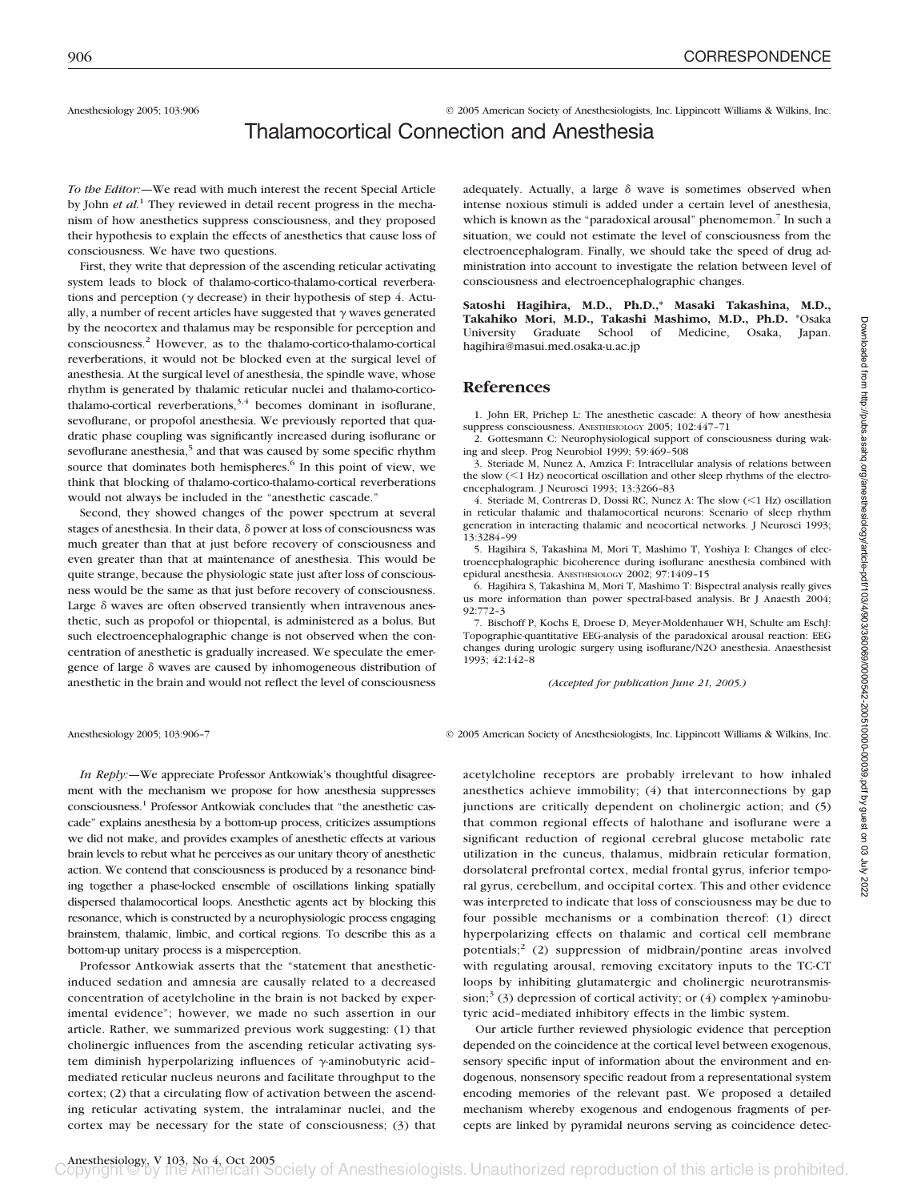Anesthesiology 2005; 103:906 **Exercían Society of Anesthesiologists**, Inc. Lippincott Williams & Wilkins, Inc.

# Thalamocortical Connection and Anesthesia

*To the Editor:—*We read with much interest the recent Special Article by John *et al.*<sup>1</sup> They reviewed in detail recent progress in the mechanism of how anesthetics suppress consciousness, and they proposed their hypothesis to explain the effects of anesthetics that cause loss of consciousness. We have two questions.

First, they write that depression of the ascending reticular activating system leads to block of thalamo-cortico-thalamo-cortical reverberations and perception ( $\gamma$  decrease) in their hypothesis of step 4. Actually, a number of recent articles have suggested that  $\gamma$  waves generated by the neocortex and thalamus may be responsible for perception and consciousness.2 However, as to the thalamo-cortico-thalamo-cortical reverberations, it would not be blocked even at the surgical level of anesthesia. At the surgical level of anesthesia, the spindle wave, whose rhythm is generated by thalamic reticular nuclei and thalamo-corticothalamo-cortical reverberations, $3,4$  becomes dominant in isoflurane, sevoflurane, or propofol anesthesia. We previously reported that quadratic phase coupling was significantly increased during isoflurane or sevoflurane anesthesia,<sup>5</sup> and that was caused by some specific rhythm source that dominates both hemispheres.<sup>6</sup> In this point of view, we think that blocking of thalamo-cortico-thalamo-cortical reverberations would not always be included in the "anesthetic cascade."

Second, they showed changes of the power spectrum at several stages of anesthesia. In their data,  $\delta$  power at loss of consciousness was much greater than that at just before recovery of consciousness and even greater than that at maintenance of anesthesia. This would be quite strange, because the physiologic state just after loss of consciousness would be the same as that just before recovery of consciousness. Large  $\delta$  waves are often observed transiently when intravenous anesthetic, such as propofol or thiopental, is administered as a bolus. But such electroencephalographic change is not observed when the concentration of anesthetic is gradually increased. We speculate the emergence of large  $\delta$  waves are caused by inhomogeneous distribution of anesthetic in the brain and would not reflect the level of consciousness

adequately. Actually, a large  $\delta$  wave is sometimes observed when intense noxious stimuli is added under a certain level of anesthesia, which is known as the "paradoxical arousal" phenomemon.<sup>7</sup> In such a situation, we could not estimate the level of consciousness from the electroencephalogram. Finally, we should take the speed of drug administration into account to investigate the relation between level of consciousness and electroencephalographic changes.

**Satoshi Hagihira, M.D., Ph.D.,\* Masaki Takashina, M.D., Takahiko Mori, M.D., Takashi Mashimo, M.D., Ph.D.** \*Osaka University Graduate School of Medicine, Osaka, Japan. hagihira@masui.med.osaka-u.ac.jp

#### **References**

1. John ER, Prichep L: The anesthetic cascade: A theory of how anesthesia suppress consciousness. ANESTHESIOLOGY 2005; 102:447–71

2. Gottesmann C: Neurophysiological support of consciousness during waking and sleep. Prog Neurobiol 1999; 59:469–508

| 3. Steriade M, Nunez A, Amzica F: Intracellular analysis of relations between      |
|------------------------------------------------------------------------------------|
| the slow $(<1$ Hz) neocortical oscillation and other sleep rhythms of the electro- |
| encephalogram. J Neurosci 1993; 13:3266-83                                         |

4. Steriade M, Contreras D, Dossi RC, Nunez A: The slow (<1 Hz) oscillation in reticular thalamic and thalamocortical neurons: Scenario of sleep rhythm generation in interacting thalamic and neocortical networks. J Neurosci 1993; 13:3284–99

5. Hagihira S, Takashina M, Mori T, Mashimo T, Yoshiya I: Changes of electroencephalographic bicoherence during isoflurane anesthesia combined with epidural anesthesia. ANESTHESIOLOGY 2002; 97:1409–15

6. Hagihira S, Takashina M, Mori T, Mashimo T: Bispectral analysis really gives us more information than power spectral-based analysis. Br J Anaesth 2004; 92:772–3

7. Bischoff P, Kochs E, Droese D, Meyer-Moldenhauer WH, Schulte am EschJ: Topographic-quantitative EEG-analysis of the paradoxical arousal reaction: EEG changes during urologic surgery using isoflurane/N2O anesthesia. Anaesthesist 1993; 42:142–8

*(Accepted for publication June 21, 2005.)*

*In Reply:—*We appreciate Professor Antkowiak's thoughtful disagreement with the mechanism we propose for how anesthesia suppresses consciousness.1 Professor Antkowiak concludes that "the anesthetic cascade" explains anesthesia by a bottom-up process, criticizes assumptions we did not make, and provides examples of anesthetic effects at various brain levels to rebut what he perceives as our unitary theory of anesthetic action. We contend that consciousness is produced by a resonance binding together a phase-locked ensemble of oscillations linking spatially dispersed thalamocortical loops. Anesthetic agents act by blocking this resonance, which is constructed by a neurophysiologic process engaging brainstem, thalamic, limbic, and cortical regions. To describe this as a bottom-up unitary process is a misperception.

Professor Antkowiak asserts that the "statement that anestheticinduced sedation and amnesia are causally related to a decreased concentration of acetylcholine in the brain is not backed by experimental evidence"; however, we made no such assertion in our article. Rather, we summarized previous work suggesting: (1) that cholinergic influences from the ascending reticular activating system diminish hyperpolarizing influences of  $\gamma$ -aminobutyric acidmediated reticular nucleus neurons and facilitate throughput to the cortex; (2) that a circulating flow of activation between the ascending reticular activating system, the intralaminar nuclei, and the cortex may be necessary for the state of consciousness; (3) that

Anesthesiology 2005; 103:906–7 © 2005 American Society of Anesthesiologists, Inc. Lippincott Williams & Wilkins, Inc.

acetylcholine receptors are probably irrelevant to how inhaled anesthetics achieve immobility; (4) that interconnections by gap junctions are critically dependent on cholinergic action; and (5) that common regional effects of halothane and isoflurane were a significant reduction of regional cerebral glucose metabolic rate utilization in the cuneus, thalamus, midbrain reticular formation, dorsolateral prefrontal cortex, medial frontal gyrus, inferior temporal gyrus, cerebellum, and occipital cortex. This and other evidence was interpreted to indicate that loss of consciousness may be due to four possible mechanisms or a combination thereof: (1) direct hyperpolarizing effects on thalamic and cortical cell membrane potentials;<sup>2</sup> (2) suppression of midbrain/pontine areas involved with regulating arousal, removing excitatory inputs to the TC-CT loops by inhibiting glutamatergic and cholinergic neurotransmission;<sup>3</sup> (3) depression of cortical activity; or (4) complex  $\gamma$ -aminobutyric acid–mediated inhibitory effects in the limbic system.

Our article further reviewed physiologic evidence that perception depended on the coincidence at the cortical level between exogenous, sensory specific input of information about the environment and endogenous, nonsensory specific readout from a representational system encoding memories of the relevant past. We proposed a detailed mechanism whereby exogenous and endogenous fragments of percepts are linked by pyramidal neurons serving as coincidence detec-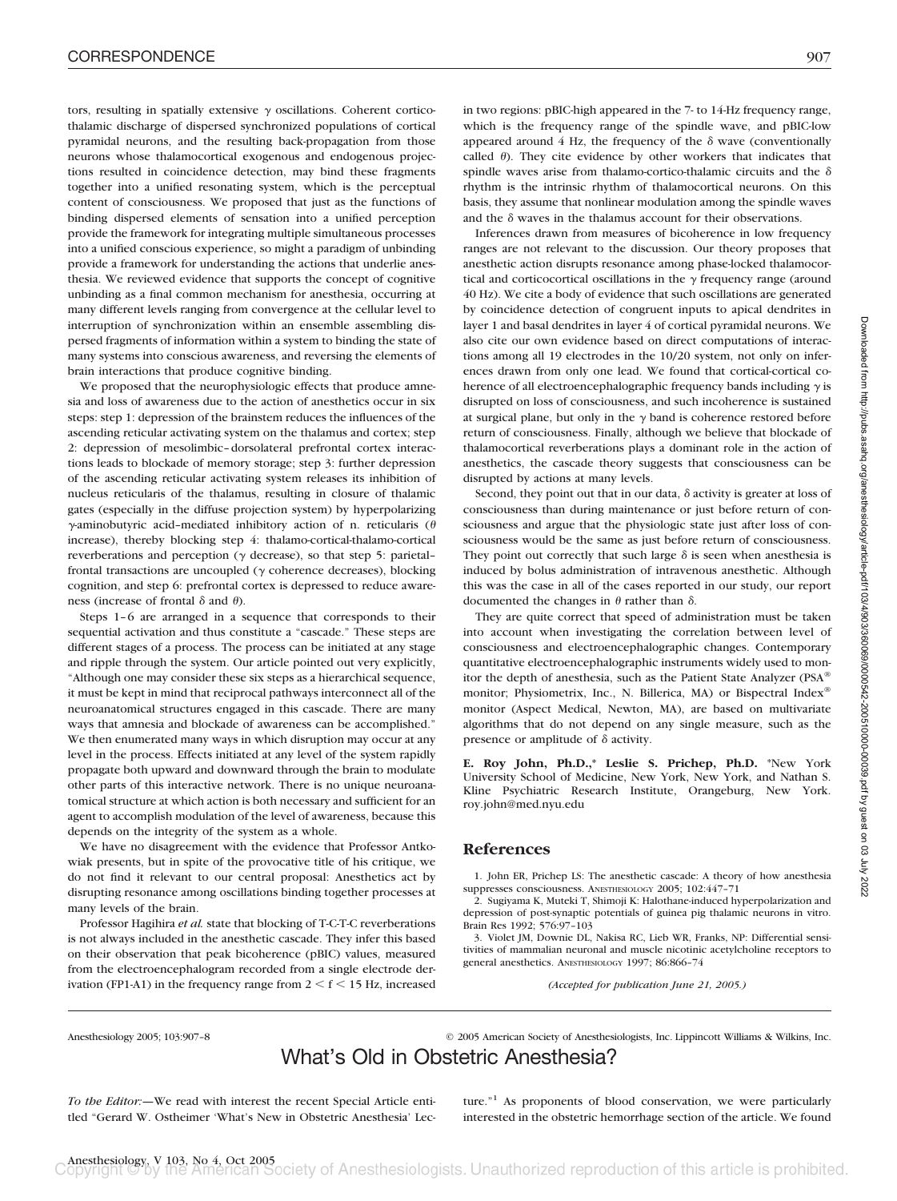tors, resulting in spatially extensive  $\gamma$  oscillations. Coherent corticothalamic discharge of dispersed synchronized populations of cortical pyramidal neurons, and the resulting back-propagation from those neurons whose thalamocortical exogenous and endogenous projections resulted in coincidence detection, may bind these fragments together into a unified resonating system, which is the perceptual content of consciousness. We proposed that just as the functions of binding dispersed elements of sensation into a unified perception provide the framework for integrating multiple simultaneous processes into a unified conscious experience, so might a paradigm of unbinding provide a framework for understanding the actions that underlie anesthesia. We reviewed evidence that supports the concept of cognitive unbinding as a final common mechanism for anesthesia, occurring at many different levels ranging from convergence at the cellular level to interruption of synchronization within an ensemble assembling dispersed fragments of information within a system to binding the state of many systems into conscious awareness, and reversing the elements of brain interactions that produce cognitive binding.

We proposed that the neurophysiologic effects that produce amnesia and loss of awareness due to the action of anesthetics occur in six steps: step 1: depression of the brainstem reduces the influences of the ascending reticular activating system on the thalamus and cortex; step 2: depression of mesolimbic– dorsolateral prefrontal cortex interactions leads to blockade of memory storage; step 3: further depression of the ascending reticular activating system releases its inhibition of nucleus reticularis of the thalamus, resulting in closure of thalamic gates (especially in the diffuse projection system) by hyperpolarizing  $\gamma$ -aminobutyric acid-mediated inhibitory action of n. reticularis ( $\theta$ increase), thereby blocking step 4: thalamo-cortical-thalamo-cortical reverberations and perception ( $\gamma$  decrease), so that step 5: parietalfrontal transactions are uncoupled ( $\gamma$  coherence decreases), blocking cognition, and step 6: prefrontal cortex is depressed to reduce awareness (increase of frontal  $\delta$  and  $\theta$ ).

Steps 1-6 are arranged in a sequence that corresponds to their sequential activation and thus constitute a "cascade." These steps are different stages of a process. The process can be initiated at any stage and ripple through the system. Our article pointed out very explicitly, "Although one may consider these six steps as a hierarchical sequence, it must be kept in mind that reciprocal pathways interconnect all of the neuroanatomical structures engaged in this cascade. There are many ways that amnesia and blockade of awareness can be accomplished." We then enumerated many ways in which disruption may occur at any level in the process. Effects initiated at any level of the system rapidly propagate both upward and downward through the brain to modulate other parts of this interactive network. There is no unique neuroanatomical structure at which action is both necessary and sufficient for an agent to accomplish modulation of the level of awareness, because this depends on the integrity of the system as a whole.

We have no disagreement with the evidence that Professor Antkowiak presents, but in spite of the provocative title of his critique, we do not find it relevant to our central proposal: Anesthetics act by disrupting resonance among oscillations binding together processes at many levels of the brain.

Professor Hagihira *et al.* state that blocking of T-C-T-C reverberations is not always included in the anesthetic cascade. They infer this based on their observation that peak bicoherence (pBIC) values, measured from the electroencephalogram recorded from a single electrode derivation (FP1-A1) in the frequency range from  $2 < f < 15$  Hz, increased

in two regions: pBIC-high appeared in the 7- to 14-Hz frequency range, which is the frequency range of the spindle wave, and pBIC-low appeared around 4 Hz, the frequency of the  $\delta$  wave (conventionally called  $\theta$ ). They cite evidence by other workers that indicates that spindle waves arise from thalamo-cortico-thalamic circuits and the  $\delta$ rhythm is the intrinsic rhythm of thalamocortical neurons. On this basis, they assume that nonlinear modulation among the spindle waves and the  $\delta$  waves in the thalamus account for their observations.

Inferences drawn from measures of bicoherence in low frequency ranges are not relevant to the discussion. Our theory proposes that anesthetic action disrupts resonance among phase-locked thalamocortical and corticocortical oscillations in the  $\gamma$  frequency range (around 40 Hz). We cite a body of evidence that such oscillations are generated by coincidence detection of congruent inputs to apical dendrites in layer 1 and basal dendrites in layer 4 of cortical pyramidal neurons. We also cite our own evidence based on direct computations of interactions among all 19 electrodes in the 10/20 system, not only on inferences drawn from only one lead. We found that cortical-cortical coherence of all electroencephalographic frequency bands including  $\gamma$  is disrupted on loss of consciousness, and such incoherence is sustained at surgical plane, but only in the  $\gamma$  band is coherence restored before return of consciousness. Finally, although we believe that blockade of thalamocortical reverberations plays a dominant role in the action of anesthetics, the cascade theory suggests that consciousness can be disrupted by actions at many levels.

Second, they point out that in our data,  $\delta$  activity is greater at loss of consciousness than during maintenance or just before return of consciousness and argue that the physiologic state just after loss of consciousness would be the same as just before return of consciousness. They point out correctly that such large  $\delta$  is seen when anesthesia is induced by bolus administration of intravenous anesthetic. Although this was the case in all of the cases reported in our study, our report documented the changes in  $\theta$  rather than  $\delta$ .

They are quite correct that speed of administration must be taken into account when investigating the correlation between level of consciousness and electroencephalographic changes. Contemporary quantitative electroencephalographic instruments widely used to monitor the depth of anesthesia, such as the Patient State Analyzer (PSA® monitor; Physiometrix, Inc., N. Billerica, MA) or Bispectral Index® monitor (Aspect Medical, Newton, MA), are based on multivariate algorithms that do not depend on any single measure, such as the presence or amplitude of  $\delta$  activity.

**E. Roy John, Ph.D.,\* Leslie S. Prichep, Ph.D.** \*New York University School of Medicine, New York, New York, and Nathan S. Kline Psychiatric Research Institute, Orangeburg, New York. roy.john@med.nyu.edu

### **References**

1. John ER, Prichep LS: The anesthetic cascade: A theory of how anesthesia suppresses consciousness. ANESTHESIOLOGY 2005; 102:447-7

2. Sugiyama K, Muteki T, Shimoji K: Halothane-induced hyperpolarization and depression of post-synaptic potentials of guinea pig thalamic neurons in vitro. Brain Res 1992; 576:97–103

3. Violet JM, Downie DL, Nakisa RC, Lieb WR, Franks, NP: Differential sensitivities of mammalian neuronal and muscle nicotinic acetylcholine receptors to general anesthetics. ANESTHESIOLOGY 1997; 86:866–74

*(Accepted for publication June 21, 2005.)*

Anesthesiology 2005; 103:907–8 © 2005 American Society of Anesthesiologists, Inc. Lippincott Williams & Wilkins, Inc.

# What's Old in Obstetric Anesthesia?

*To the Editor:—*We read with interest the recent Special Article entitled "Gerard W. Ostheimer 'What's New in Obstetric Anesthesia' Lecture."<sup>1</sup> As proponents of blood conservation, we were particularly interested in the obstetric hemorrhage section of the article. We found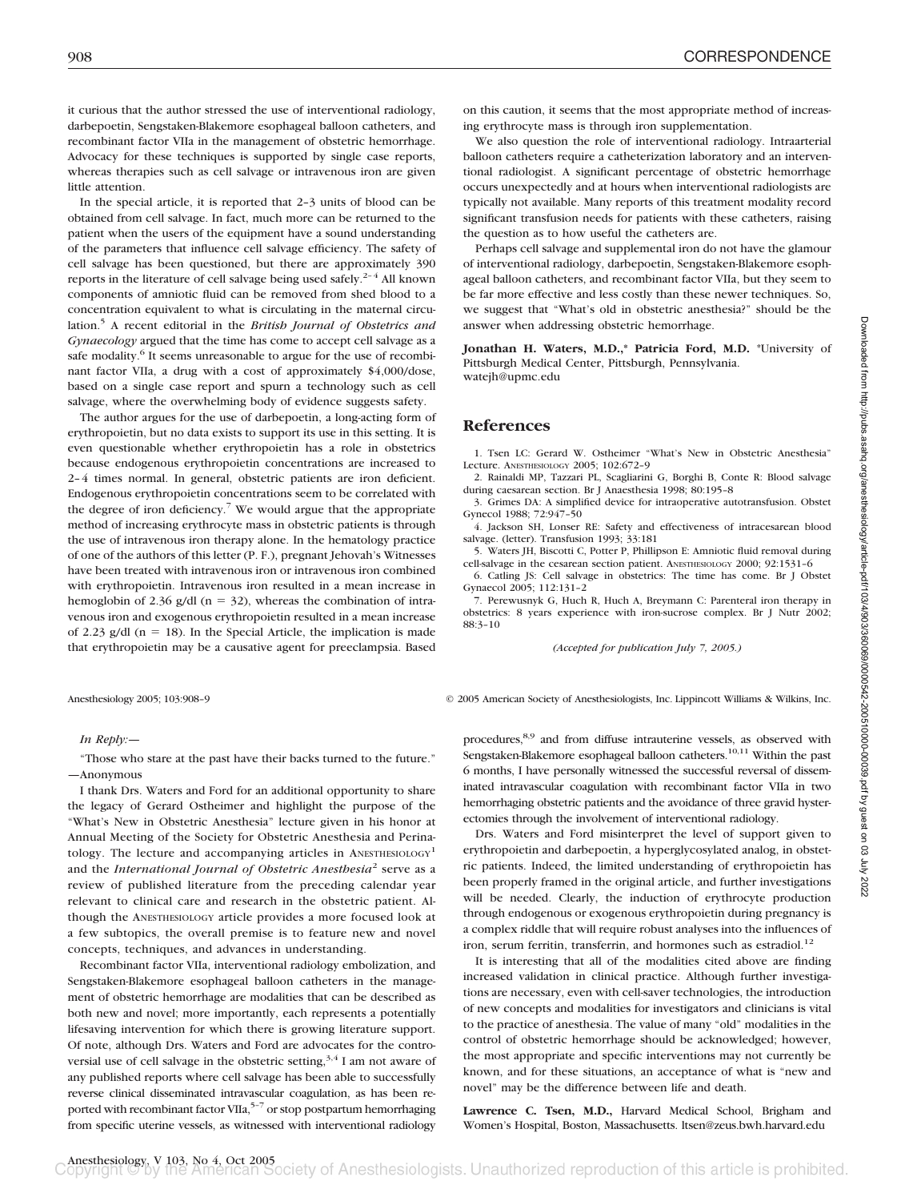it curious that the author stressed the use of interventional radiology, darbepoetin, Sengstaken-Blakemore esophageal balloon catheters, and recombinant factor VIIa in the management of obstetric hemorrhage. Advocacy for these techniques is supported by single case reports, whereas therapies such as cell salvage or intravenous iron are given little attention.

In the special article, it is reported that 2–3 units of blood can be obtained from cell salvage. In fact, much more can be returned to the patient when the users of the equipment have a sound understanding of the parameters that influence cell salvage efficiency. The safety of cell salvage has been questioned, but there are approximately 390 reports in the literature of cell salvage being used safely.<sup>2–4</sup> All known components of amniotic fluid can be removed from shed blood to a concentration equivalent to what is circulating in the maternal circulation.5 A recent editorial in the *British Journal of Obstetrics and Gynaecology* argued that the time has come to accept cell salvage as a safe modality.<sup>6</sup> It seems unreasonable to argue for the use of recombinant factor VIIa, a drug with a cost of approximately \$4,000/dose, based on a single case report and spurn a technology such as cell salvage, where the overwhelming body of evidence suggests safety.

The author argues for the use of darbepoetin, a long-acting form of erythropoietin, but no data exists to support its use in this setting. It is even questionable whether erythropoietin has a role in obstetrics because endogenous erythropoietin concentrations are increased to 2– 4 times normal. In general, obstetric patients are iron deficient. Endogenous erythropoietin concentrations seem to be correlated with the degree of iron deficiency.<sup>7</sup> We would argue that the appropriate method of increasing erythrocyte mass in obstetric patients is through the use of intravenous iron therapy alone. In the hematology practice of one of the authors of this letter (P. F.), pregnant Jehovah's Witnesses have been treated with intravenous iron or intravenous iron combined with erythropoietin. Intravenous iron resulted in a mean increase in hemoglobin of 2.36 g/dl ( $n = 32$ ), whereas the combination of intravenous iron and exogenous erythropoietin resulted in a mean increase of 2.23 g/dl ( $n = 18$ ). In the Special Article, the implication is made that erythropoietin may be a causative agent for preeclampsia. Based

#### *In Reply:—*

"Those who stare at the past have their backs turned to the future." —Anonymous

I thank Drs. Waters and Ford for an additional opportunity to share the legacy of Gerard Ostheimer and highlight the purpose of the "What's New in Obstetric Anesthesia" lecture given in his honor at Annual Meeting of the Society for Obstetric Anesthesia and Perinatology. The lecture and accompanying articles in ANESTHESIOLOGY<sup>1</sup> and the *International Journal of Obstetric Anesthesia*<sup>2</sup> serve as a review of published literature from the preceding calendar year relevant to clinical care and research in the obstetric patient. Although the ANESTHESIOLOGY article provides a more focused look at a few subtopics, the overall premise is to feature new and novel concepts, techniques, and advances in understanding.

Recombinant factor VIIa, interventional radiology embolization, and Sengstaken-Blakemore esophageal balloon catheters in the management of obstetric hemorrhage are modalities that can be described as both new and novel; more importantly, each represents a potentially lifesaving intervention for which there is growing literature support. Of note, although Drs. Waters and Ford are advocates for the controversial use of cell salvage in the obstetric setting,  $3,4$  I am not aware of any published reports where cell salvage has been able to successfully reverse clinical disseminated intravascular coagulation, as has been reported with recombinant factor VIIa,<sup>5-7</sup> or stop postpartum hemorrhaging from specific uterine vessels, as witnessed with interventional radiology

on this caution, it seems that the most appropriate method of increasing erythrocyte mass is through iron supplementation.

We also question the role of interventional radiology. Intraarterial balloon catheters require a catheterization laboratory and an interventional radiologist. A significant percentage of obstetric hemorrhage occurs unexpectedly and at hours when interventional radiologists are typically not available. Many reports of this treatment modality record significant transfusion needs for patients with these catheters, raising the question as to how useful the catheters are.

Perhaps cell salvage and supplemental iron do not have the glamour of interventional radiology, darbepoetin, Sengstaken-Blakemore esophageal balloon catheters, and recombinant factor VIIa, but they seem to be far more effective and less costly than these newer techniques. So, we suggest that "What's old in obstetric anesthesia?" should be the answer when addressing obstetric hemorrhage.

**Jonathan H. Waters, M.D.,\* Patricia Ford, M.D.** \*University of Pittsburgh Medical Center, Pittsburgh, Pennsylvania. watejh@upmc.edu

### **References**

1. Tsen LC: Gerard W. Ostheimer "What's New in Obstetric Anesthesia" Lecture. ANESTHESIOLOGY 2005; 102:672–9

2. Rainaldi MP, Tazzari PL, Scagliarini G, Borghi B, Conte R: Blood salvage during caesarean section. Br J Anaesthesia 1998; 80:195–8

3. Grimes DA: A simplified device for intraoperative autotransfusion. Obstet Gynecol 1988; 72:947–50

4. Jackson SH, Lonser RE: Safety and effectiveness of intracesarean blood salvage. (letter). Transfusion 1993; 33:181

5. Waters JH, Biscotti C, Potter P, Phillipson E: Amniotic fluid removal during cell-salvage in the cesarean section patient. ANESTHESIOLOGY 2000; 92:1531–6

6. Catling JS: Cell salvage in obstetrics: The time has come. Br J Obstet Gynaecol 2005; 112:131–2

7. Perewusnyk G, Huch R, Huch A, Breymann C: Parenteral iron therapy in obstetrics: 8 years experience with iron-sucrose complex. Br J Nutr 2002; 88:3–10

*(Accepted for publication July 7, 2005.)*

Anesthesiology 2005; 103:908–9 © 2005 American Society of Anesthesiologists, Inc. Lippincott Williams & Wilkins, Inc.

procedures,<sup>8,9</sup> and from diffuse intrauterine vessels, as observed with Sengstaken-Blakemore esophageal balloon catheters.<sup>10,11</sup> Within the past 6 months, I have personally witnessed the successful reversal of disseminated intravascular coagulation with recombinant factor VIIa in two hemorrhaging obstetric patients and the avoidance of three gravid hysterectomies through the involvement of interventional radiology.

Drs. Waters and Ford misinterpret the level of support given to erythropoietin and darbepoetin, a hyperglycosylated analog, in obstetric patients. Indeed, the limited understanding of erythropoietin has been properly framed in the original article, and further investigations will be needed. Clearly, the induction of erythrocyte production through endogenous or exogenous erythropoietin during pregnancy is a complex riddle that will require robust analyses into the influences of iron, serum ferritin, transferrin, and hormones such as estradiol.<sup>12</sup>

It is interesting that all of the modalities cited above are finding increased validation in clinical practice. Although further investigations are necessary, even with cell-saver technologies, the introduction of new concepts and modalities for investigators and clinicians is vital to the practice of anesthesia. The value of many "old" modalities in the control of obstetric hemorrhage should be acknowledged; however, the most appropriate and specific interventions may not currently be known, and for these situations, an acceptance of what is "new and novel" may be the difference between life and death.

**Lawrence C. Tsen, M.D.,** Harvard Medical School, Brigham and Women's Hospital, Boston, Massachusetts. ltsen@zeus.bwh.harvard.edu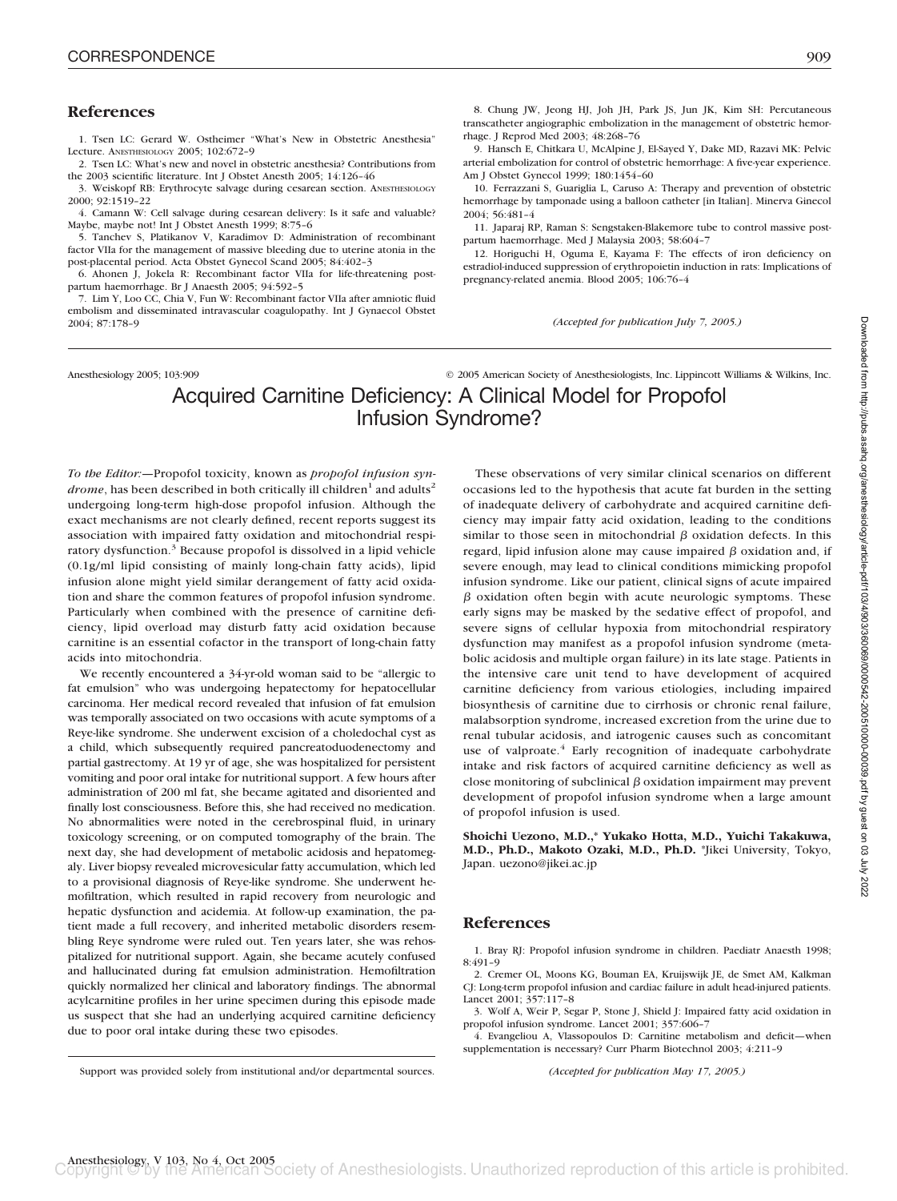#### **References**

1. Tsen LC: Gerard W. Ostheimer "What's New in Obstetric Anesthesia" Lecture. ANESTHESIOLOGY 2005; 102:672–9

2. Tsen LC: What's new and novel in obstetric anesthesia? Contributions from the 2003 scientific literature. Int J Obstet Anesth 2005; 14:126–46

3. Weiskopf RB: Erythrocyte salvage during cesarean section. ANESTHESIOLOGY 2000; 92:1519–22

4. Camann W: Cell salvage during cesarean delivery: Is it safe and valuable? Maybe, maybe not! Int J Obstet Anesth 1999; 8:75–6

5. Tanchev S, Platikanov V, Karadimov D: Administration of recombinant factor VIIa for the management of massive bleeding due to uterine atonia in the post-placental period. Acta Obstet Gynecol Scand 2005; 84:402–3

6. Ahonen J, Jokela R: Recombinant factor VIIa for life-threatening postpartum haemorrhage. Br J Anaesth 2005; 94:592–5

7. Lim Y, Loo CC, Chia V, Fun W: Recombinant factor VIIa after amniotic fluid embolism and disseminated intravascular coagulopathy. Int J Gynaecol Obstet 2004; 87:178–9

8. Chung JW, Jeong HJ, Joh JH, Park JS, Jun JK, Kim SH: Percutaneous transcatheter angiographic embolization in the management of obstetric hemorrhage. J Reprod Med 2003; 48:268–76

9. Hansch E, Chitkara U, McAlpine J, El-Sayed Y, Dake MD, Razavi MK: Pelvic arterial embolization for control of obstetric hemorrhage: A five-year experience. Am J Obstet Gynecol 1999; 180:1454–60

10. Ferrazzani S, Guariglia L, Caruso A: Therapy and prevention of obstetric hemorrhage by tamponade using a balloon catheter [in Italian]. Minerva Ginecol 2004; 56:481–4

11. Japaraj RP, Raman S: Sengstaken-Blakemore tube to control massive postpartum haemorrhage. Med J Malaysia 2003; 58:604–7

12. Horiguchi H, Oguma E, Kayama F: The effects of iron deficiency on estradiol-induced suppression of erythropoietin induction in rats: Implications of pregnancy-related anemia. Blood 2005; 106:76–4

*(Accepted for publication July 7, 2005.)*

## Anesthesiology 2005; 103:909 © 2005 American Society of Anesthesiologists, Inc. Lippincott Williams & Wilkins, Inc. Acquired Carnitine Deficiency: A Clinical Model for Propofol Infusion Syndrome?

*To the Editor:—*Propofol toxicity, known as *propofol infusion syndrome*, has been described in both critically ill children<sup>1</sup> and adults<sup>2</sup> undergoing long-term high-dose propofol infusion. Although the exact mechanisms are not clearly defined, recent reports suggest its association with impaired fatty oxidation and mitochondrial respiratory dysfunction.<sup>3</sup> Because propofol is dissolved in a lipid vehicle (0.1g/ml lipid consisting of mainly long-chain fatty acids), lipid infusion alone might yield similar derangement of fatty acid oxidation and share the common features of propofol infusion syndrome. Particularly when combined with the presence of carnitine deficiency, lipid overload may disturb fatty acid oxidation because carnitine is an essential cofactor in the transport of long-chain fatty acids into mitochondria.

We recently encountered a 34-yr-old woman said to be "allergic to fat emulsion" who was undergoing hepatectomy for hepatocellular carcinoma. Her medical record revealed that infusion of fat emulsion was temporally associated on two occasions with acute symptoms of a Reye-like syndrome. She underwent excision of a choledochal cyst as a child, which subsequently required pancreatoduodenectomy and partial gastrectomy. At 19 yr of age, she was hospitalized for persistent vomiting and poor oral intake for nutritional support. A few hours after administration of 200 ml fat, she became agitated and disoriented and finally lost consciousness. Before this, she had received no medication. No abnormalities were noted in the cerebrospinal fluid, in urinary toxicology screening, or on computed tomography of the brain. The next day, she had development of metabolic acidosis and hepatomegaly. Liver biopsy revealed microvesicular fatty accumulation, which led to a provisional diagnosis of Reye-like syndrome. She underwent hemofiltration, which resulted in rapid recovery from neurologic and hepatic dysfunction and acidemia. At follow-up examination, the patient made a full recovery, and inherited metabolic disorders resembling Reye syndrome were ruled out. Ten years later, she was rehospitalized for nutritional support. Again, she became acutely confused and hallucinated during fat emulsion administration. Hemofiltration quickly normalized her clinical and laboratory findings. The abnormal acylcarnitine profiles in her urine specimen during this episode made us suspect that she had an underlying acquired carnitine deficiency due to poor oral intake during these two episodes.

Support was provided solely from institutional and/or departmental sources. *(Accepted for publication May 17, 2005.)*

These observations of very similar clinical scenarios on different occasions led to the hypothesis that acute fat burden in the setting of inadequate delivery of carbohydrate and acquired carnitine deficiency may impair fatty acid oxidation, leading to the conditions similar to those seen in mitochondrial  $\beta$  oxidation defects. In this regard, lipid infusion alone may cause impaired  $\beta$  oxidation and, if severe enough, may lead to clinical conditions mimicking propofol infusion syndrome. Like our patient, clinical signs of acute impaired  $\beta$  oxidation often begin with acute neurologic symptoms. These early signs may be masked by the sedative effect of propofol, and severe signs of cellular hypoxia from mitochondrial respiratory dysfunction may manifest as a propofol infusion syndrome (metabolic acidosis and multiple organ failure) in its late stage. Patients in the intensive care unit tend to have development of acquired carnitine deficiency from various etiologies, including impaired biosynthesis of carnitine due to cirrhosis or chronic renal failure, malabsorption syndrome, increased excretion from the urine due to renal tubular acidosis, and iatrogenic causes such as concomitant use of valproate.<sup>4</sup> Early recognition of inadequate carbohydrate intake and risk factors of acquired carnitine deficiency as well as close monitoring of subclinical  $\beta$  oxidation impairment may prevent development of propofol infusion syndrome when a large amount of propofol infusion is used.

**Shoichi Uezono, M.D.,\* Yukako Hotta, M.D., Yuichi Takakuwa, M.D., Ph.D., Makoto Ozaki, M.D., Ph.D.** \*Jikei University, Tokyo, Japan. uezono@jikei.ac.jp

#### **References**

1. Bray RJ: Propofol infusion syndrome in children. Paediatr Anaesth 1998; 8:491–9

2. Cremer OL, Moons KG, Bouman EA, Kruijswijk JE, de Smet AM, Kalkman CJ: Long-term propofol infusion and cardiac failure in adult head-injured patients. Lancet 2001; 357:117–8

3. Wolf A, Weir P, Segar P, Stone J, Shield J: Impaired fatty acid oxidation in propofol infusion syndrome. Lancet 2001; 357:606–7

4. Evangeliou A, Vlassopoulos D: Carnitine metabolism and deficit—when supplementation is necessary? Curr Pharm Biotechnol 2003; 4:211–9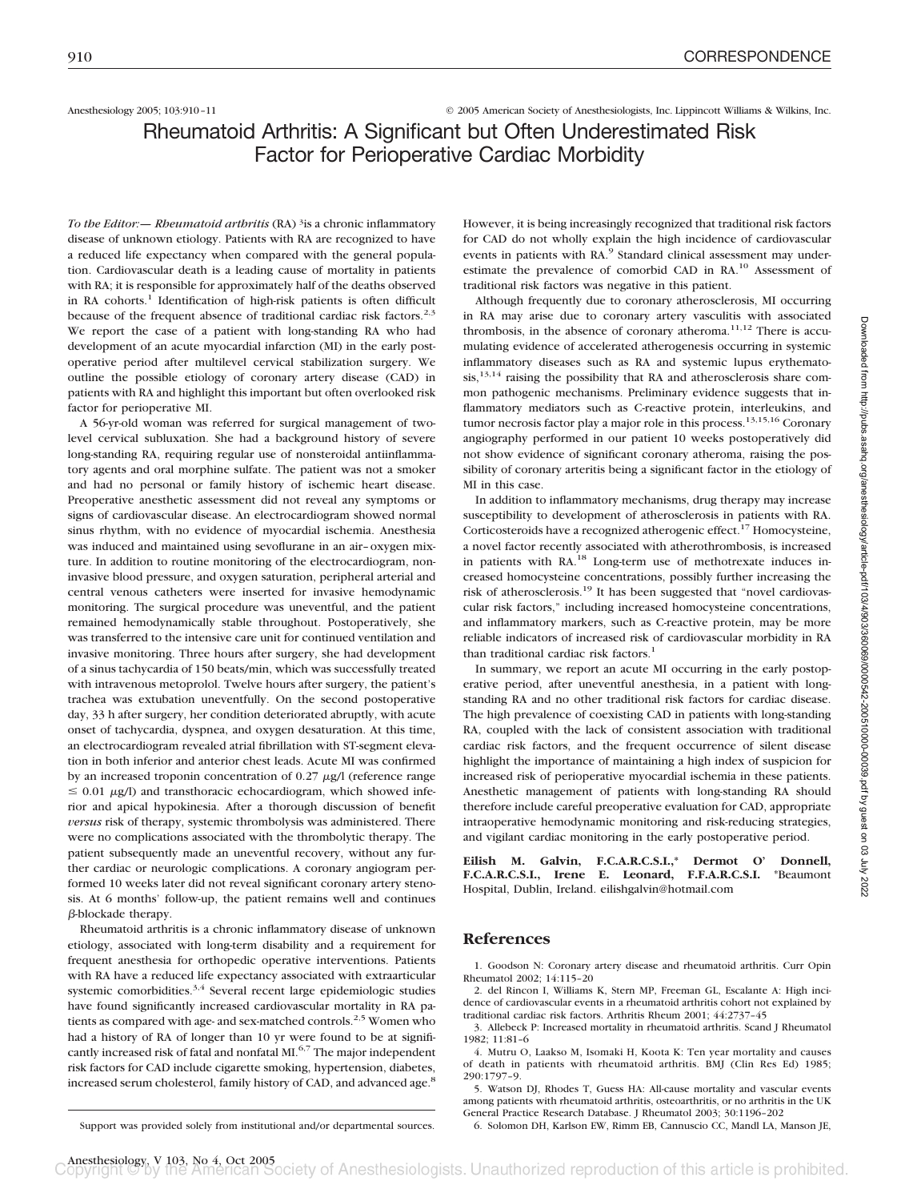Anesthesiology 2005; 103:910 –11 © 2005 American Society of Anesthesiologists, Inc. Lippincott Williams & Wilkins, Inc.

## Rheumatoid Arthritis: A Significant but Often Underestimated Risk Factor for Perioperative Cardiac Morbidity

*To the Editor:— Rheumatoid arthritis* (RA) 3is a chronic inflammatory disease of unknown etiology. Patients with RA are recognized to have a reduced life expectancy when compared with the general population. Cardiovascular death is a leading cause of mortality in patients with RA; it is responsible for approximately half of the deaths observed in RA cohorts.<sup>1</sup> Identification of high-risk patients is often difficult because of the frequent absence of traditional cardiac risk factors.<sup>2,3</sup> We report the case of a patient with long-standing RA who had development of an acute myocardial infarction (MI) in the early postoperative period after multilevel cervical stabilization surgery. We outline the possible etiology of coronary artery disease (CAD) in patients with RA and highlight this important but often overlooked risk factor for perioperative MI.

A 56-yr-old woman was referred for surgical management of twolevel cervical subluxation. She had a background history of severe long-standing RA, requiring regular use of nonsteroidal antiinflammatory agents and oral morphine sulfate. The patient was not a smoker and had no personal or family history of ischemic heart disease. Preoperative anesthetic assessment did not reveal any symptoms or signs of cardiovascular disease. An electrocardiogram showed normal sinus rhythm, with no evidence of myocardial ischemia. Anesthesia was induced and maintained using sevoflurane in an air– oxygen mixture. In addition to routine monitoring of the electrocardiogram, noninvasive blood pressure, and oxygen saturation, peripheral arterial and central venous catheters were inserted for invasive hemodynamic monitoring. The surgical procedure was uneventful, and the patient remained hemodynamically stable throughout. Postoperatively, she was transferred to the intensive care unit for continued ventilation and invasive monitoring. Three hours after surgery, she had development of a sinus tachycardia of 150 beats/min, which was successfully treated with intravenous metoprolol. Twelve hours after surgery, the patient's trachea was extubation uneventfully. On the second postoperative day, 33 h after surgery, her condition deteriorated abruptly, with acute onset of tachycardia, dyspnea, and oxygen desaturation. At this time, an electrocardiogram revealed atrial fibrillation with ST-segment elevation in both inferior and anterior chest leads. Acute MI was confirmed by an increased troponin concentration of  $0.27 \mu g/l$  (reference range  $\leq$  0.01  $\mu$ g/l) and transthoracic echocardiogram, which showed inferior and apical hypokinesia. After a thorough discussion of benefit *versus* risk of therapy, systemic thrombolysis was administered. There were no complications associated with the thrombolytic therapy. The patient subsequently made an uneventful recovery, without any further cardiac or neurologic complications. A coronary angiogram performed 10 weeks later did not reveal significant coronary artery stenosis. At 6 months' follow-up, the patient remains well and continues -blockade therapy.

Rheumatoid arthritis is a chronic inflammatory disease of unknown etiology, associated with long-term disability and a requirement for frequent anesthesia for orthopedic operative interventions. Patients with RA have a reduced life expectancy associated with extraarticular systemic comorbidities.<sup>3,4</sup> Several recent large epidemiologic studies have found significantly increased cardiovascular mortality in RA patients as compared with age- and sex-matched controls.<sup>2,5</sup> Women who had a history of RA of longer than 10 yr were found to be at significantly increased risk of fatal and nonfatal MI.<sup>6,7</sup> The major independent risk factors for CAD include cigarette smoking, hypertension, diabetes, increased serum cholesterol, family history of CAD, and advanced age.<sup>8</sup>

However, it is being increasingly recognized that traditional risk factors for CAD do not wholly explain the high incidence of cardiovascular events in patients with RA.<sup>9</sup> Standard clinical assessment may underestimate the prevalence of comorbid CAD in RA.10 Assessment of traditional risk factors was negative in this patient.

Although frequently due to coronary atherosclerosis, MI occurring in RA may arise due to coronary artery vasculitis with associated thrombosis, in the absence of coronary atheroma.<sup>11,12</sup> There is accumulating evidence of accelerated atherogenesis occurring in systemic inflammatory diseases such as RA and systemic lupus erythemato $sis$ <sup>13,14</sup> raising the possibility that RA and atherosclerosis share common pathogenic mechanisms. Preliminary evidence suggests that inflammatory mediators such as C-reactive protein, interleukins, and tumor necrosis factor play a major role in this process.<sup>13,15,16</sup> Coronary angiography performed in our patient 10 weeks postoperatively did not show evidence of significant coronary atheroma, raising the possibility of coronary arteritis being a significant factor in the etiology of MI in this case.

In addition to inflammatory mechanisms, drug therapy may increase susceptibility to development of atherosclerosis in patients with RA. Corticosteroids have a recognized atherogenic effect.<sup>17</sup> Homocysteine, a novel factor recently associated with atherothrombosis, is increased in patients with RA.18 Long-term use of methotrexate induces increased homocysteine concentrations, possibly further increasing the risk of atherosclerosis.<sup>19</sup> It has been suggested that "novel cardiovascular risk factors," including increased homocysteine concentrations, and inflammatory markers, such as C-reactive protein, may be more reliable indicators of increased risk of cardiovascular morbidity in RA than traditional cardiac risk factors.<sup>1</sup>

In summary, we report an acute MI occurring in the early postoperative period, after uneventful anesthesia, in a patient with longstanding RA and no other traditional risk factors for cardiac disease. The high prevalence of coexisting CAD in patients with long-standing RA, coupled with the lack of consistent association with traditional cardiac risk factors, and the frequent occurrence of silent disease highlight the importance of maintaining a high index of suspicion for increased risk of perioperative myocardial ischemia in these patients. Anesthetic management of patients with long-standing RA should therefore include careful preoperative evaluation for CAD, appropriate intraoperative hemodynamic monitoring and risk-reducing strategies, and vigilant cardiac monitoring in the early postoperative period.

**Eilish M. Galvin, F.C.A.R.C.S.I.,\* Dermot O' Donnell, F.C.A.R.C.S.I., Irene E. Leonard, F.F.A.R.C.S.I.** \*Beaumont Hospital, Dublin, Ireland. eilishgalvin@hotmail.com

### **References**

1. Goodson N: Coronary artery disease and rheumatoid arthritis. Curr Opin Rheumatol 2002; 14:115–20

2. del Rincon I, Williams K, Stern MP, Freeman GL, Escalante A: High incidence of cardiovascular events in a rheumatoid arthritis cohort not explained by traditional cardiac risk factors. Arthritis Rheum 2001; 44:2737–45

3. Allebeck P: Increased mortality in rheumatoid arthritis. Scand J Rheumatol 1982; 11:81–6

4. Mutru O, Laakso M, Isomaki H, Koota K: Ten year mortality and causes of death in patients with rheumatoid arthritis. BMJ (Clin Res Ed) 1985; 290:1797–9.

5. Watson DJ, Rhodes T, Guess HA: All-cause mortality and vascular events among patients with rheumatoid arthritis, osteoarthritis, or no arthritis in the UK General Practice Research Database. J Rheumatol 2003; 30:1196–202

Support was provided solely from institutional and/or departmental sources. 6. Solomon DH, Karlson EW, Rimm EB, Cannuscio CC, Mandl LA, Manson JE,

Anesthesiology, V 103, No 4, Oct 2005<br>Jopyright © by the American Society of Anesthesiologists. Unauthorized reproduction of this article is prohibited.